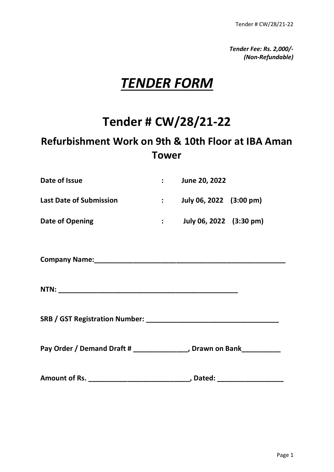*Tender Fee: Rs. 2,000/- (Non-Refundable)*

# *TENDER FORM*

# **Tender # CW/28/21-22**

## **Refurbishment Work on 9th & 10th Floor at IBA Aman Tower**

| Date of Issue                  | June 20, 2022           |
|--------------------------------|-------------------------|
| <b>Last Date of Submission</b> | July 06, 2022 (3:00 pm) |
| Date of Opening                | July 06, 2022 (3:30 pm) |

**Company Name:\_\_\_\_\_\_\_\_\_\_\_\_\_\_\_\_\_\_\_\_\_\_\_\_\_\_\_\_\_\_\_\_\_\_\_\_\_\_\_\_\_\_\_\_\_\_\_\_\_**

**NTN: \_\_\_\_\_\_\_\_\_\_\_\_\_\_\_\_\_\_\_\_\_\_\_\_\_\_\_\_\_\_\_\_\_\_\_\_\_\_\_\_\_\_\_\_\_\_**

**SRB / GST Registration Number: \_\_\_\_\_\_\_\_\_\_\_\_\_\_\_\_\_\_\_\_\_\_\_\_\_\_\_\_\_\_\_\_\_\_**

Pay Order / Demand Draft # \_\_\_\_\_\_\_\_\_\_\_\_\_\_\_, Drawn on Bank\_\_\_\_\_\_\_\_\_\_\_

**Amount of Rs. \_\_\_\_\_\_\_\_\_\_\_\_\_\_\_\_\_\_\_\_\_\_\_\_\_\_, Dated: \_\_\_\_\_\_\_\_\_\_\_\_\_\_\_\_\_**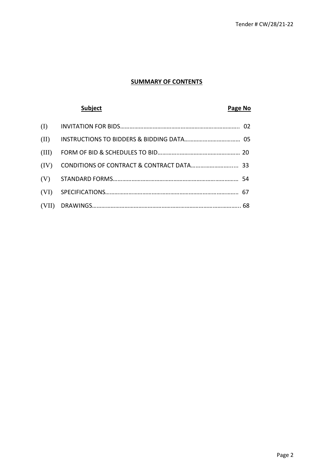#### **SUMMARY OF CONTENTS**

### **Subject Page No**

| (II)  |  |
|-------|--|
| (III) |  |
| (IV)  |  |
|       |  |
| (VI)  |  |
|       |  |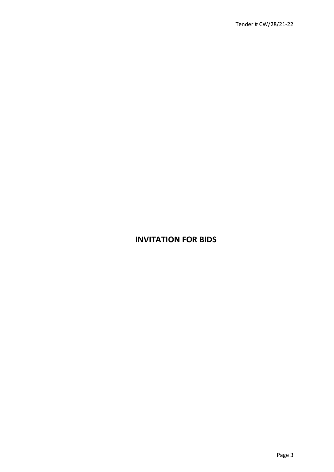### **INVITATION FOR BIDS**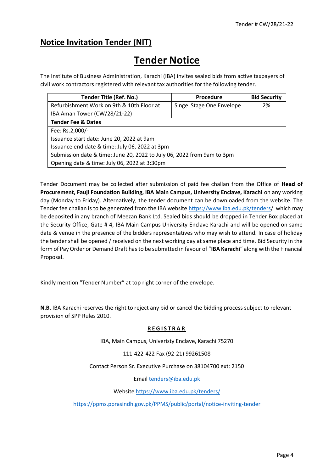### **Notice Invitation Tender (NIT)**

## **Tender Notice**

The Institute of Business Administration, Karachi (IBA) invites sealed bids from active taxpayers of civil work contractors registered with relevant tax authorities for the following tender.

| <b>Tender Title (Ref. No.)</b>                                         | <b>Procedure</b>         | <b>Bid Security</b> |  |
|------------------------------------------------------------------------|--------------------------|---------------------|--|
| Refurbishment Work on 9th & 10th Floor at                              | Singe Stage One Envelope | 2%                  |  |
| IBA Aman Tower (CW/28/21-22)                                           |                          |                     |  |
| <b>Tender Fee &amp; Dates</b>                                          |                          |                     |  |
| Fee: Rs.2,000/-                                                        |                          |                     |  |
| Issuance start date: June 20, 2022 at 9am                              |                          |                     |  |
| Issuance end date & time: July 06, 2022 at 3pm                         |                          |                     |  |
| Submission date & time: June 20, 2022 to July 06, 2022 from 9am to 3pm |                          |                     |  |
| Opening date & time: July 06, 2022 at 3:30pm                           |                          |                     |  |

Tender Document may be collected after submission of paid fee challan from the Office of **Head of Procurement, Fauji Foundation Building, IBA Main Campus, University Enclave, Karachi** on any working day (Monday to Friday). Alternatively, the tender document can be downloaded from the website. The Tender fee challan is to be generated from the IBA website [https://www.iba.edu.pk/tenders/](https://www.iba.edu.pk/tenders.) which may be deposited in any branch of Meezan Bank Ltd. Sealed bids should be dropped in Tender Box placed at the Security Office, Gate # 4, IBA Main Campus University Enclave Karachi and will be opened on same date & venue in the presence of the bidders representatives who may wish to attend. In case of holiday the tender shall be opened / received on the next working day at same place and time. Bid Security in the form of Pay Order or Demand Draft has to be submitted in favour of "**IBA Karachi**" along with the Financial Proposal.

Kindly mention "Tender Number" at top right corner of the envelope.

**N.B.** IBA Karachi reserves the right to reject any bid or cancel the bidding process subject to relevant provision of SPP Rules 2010.

#### **R E G I S T R A R**

IBA, Main Campus, Univeristy Enclave, Karachi 75270

111-422-422 Fax (92-21) 99261508

Contact Person Sr. Executive Purchase on 38104700 ext: 2150

Emai[l tenders@iba.edu.pk](mailto:tenders@iba.edu.pk)

Website<https://www.iba.edu.pk/tenders/>

<https://ppms.pprasindh.gov.pk/PPMS/public/portal/notice-inviting-tender>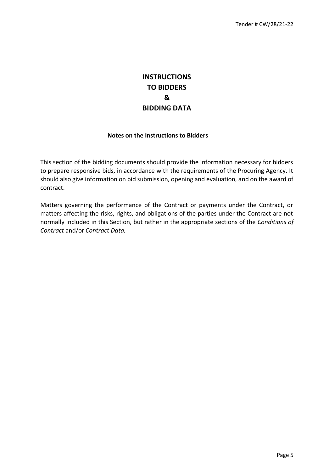### **INSTRUCTIONS TO BIDDERS & BIDDING DATA**

#### **Notes on the Instructions to Bidders**

This section of the bidding documents should provide the information necessary for bidders to prepare responsive bids, in accordance with the requirements of the Procuring Agency. It should also give information on bid submission, opening and evaluation, and on the award of contract.

Matters governing the performance of the Contract or payments under the Contract, or matters affecting the risks, rights, and obligations of the parties under the Contract are not normally included in this Section, but rather in the appropriate sections of the *Conditions of Contract* and/or *Contract Data.*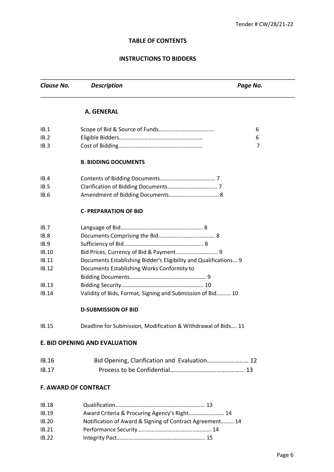#### **TABLE OF CONTENTS**

#### **INSTRUCTIONS TO BIDDERS**

**Clause No.** Description **Description Page No. Page No. A. GENERAL**  IB.1 Scope of Bid & Source of Funds………………………………… 6 IB.2 Eligible Bidders………………………………………………….. 6 IB.3 Cost of Bidding………………………………………………….. 7 **B. BIDDING DOCUMENTS** IB.4 Contents of Bidding Documents………………………………… 7 IB.5 Clarification of Bidding Documents…………………………….. 7 IB.6 Amendment of Bidding Documents…………………………….. 8 **C- PREPARATION OF BID**  IB.7 Language of Bid…………………………………………………. 8 IB.8 Documents Comprising the Bid…………………………………. 8 IB.9 Sufficiency of Bid……………………………………………….. 8 IB.10 Bid Prices, Currency of Bid & Payment………………………… 9 IB.11 Documents Establishing Bidder's Eligibility and Qualifications... 9 IB.12 Documents Establishing Works Conformity to Bidding Documents……………………………………………… 9 IB.13 Bidding Security…………………………………………………. 10 IB.14 Validity of Bids, Format*,* Signing and Submission of Bid………. 10 **D-SUBMISSION OF BID**  IB.15 Deadline for Submission*,* Modification & Withdrawal of Bids…. 11 **E. BID OPENING AND EVALUATION**  IB.16 Bid Opening, Clarification and Evaluation……………………… 12 IB.17 Process to be Confidential………………………………………... 13 **F. AWARD OF CONTRACT**  IB.18 Qualification……………………………………………………... 13 IB.19 Award Criteria & Procuring Agency's Right……………………. 14 IB.20 Notification of Award & Signing of Contract Agreement……… 14 IB.21 Performance Security……………………………………………. 14 IB.22 Integrity Pact…………………………………………………….. 15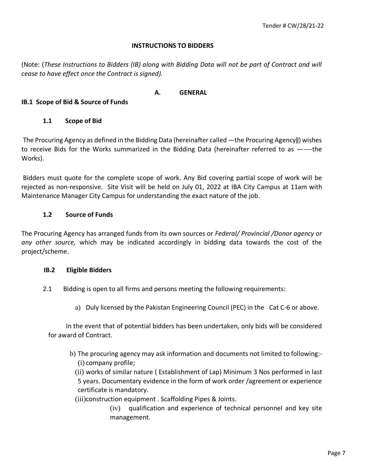#### **INSTRUCTIONS TO BIDDERS**

(Note: (*These Instructions to Bidders (IB) along with Bidding Data will not be part of Contract and will cease to have effect once the Contract is signed).* 

#### **A. GENERAL**

#### **IB.1 Scope of Bid & Source of Funds**

#### **1.1 Scope of Bid**

The Procuring Agency as defined in the Bidding Data (hereinafter called ―the Procuring Agency‖) wishes to receive Bids for the Works summarized in the Bidding Data (hereinafter referred to as ―----the Works).

Bidders must quote for the complete scope of work. Any Bid covering partial scope of work will be rejected as non-responsive. Site Visit will be held on July 01, 2022 at IBA City Campus at 11am with Maintenance Manager City Campus for understanding the exact nature of the job.

#### **1.2 Source of Funds**

The Procuring Agency has arranged funds from its own sources or *Federal/ Provincial /Donor agency or any other source,* which may be indicated accordingly in bidding data towards the cost of the project/scheme.

#### **IB.2 Eligible Bidders**

- 2.1 Bidding is open to all firms and persons meeting the following requirements:
	- a) Duly licensed by the Pakistan Engineering Council (PEC) in the Cat C-6 or above.

 In the event that of potential bidders has been undertaken, only bids will be considered for award of Contract.

b) The procuring agency may ask information and documents not limited to following:- (i) company profile;

(ii) works of similar nature ( Establishment of Lap) Minimum 3 Nos performed in last 5 years. Documentary evidence in the form of work order /agreement or experience certificate is mandatory.

(iii)construction equipment . Scaffolding Pipes & Joints.

(iv) qualification and experience of technical personnel and key site management.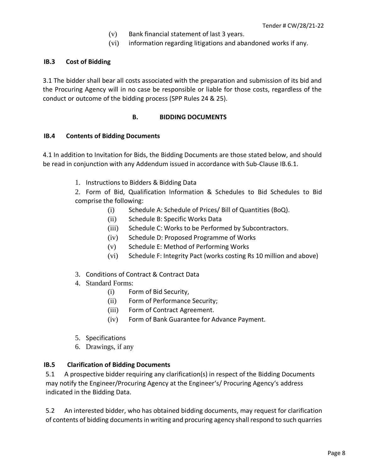- (v) Bank financial statement of last 3 years.
- (vi) information regarding litigations and abandoned works if any.

#### **IB.3 Cost of Bidding**

3.1 The bidder shall bear all costs associated with the preparation and submission of its bid and the Procuring Agency will in no case be responsible or liable for those costs, regardless of the conduct or outcome of the bidding process (SPP Rules 24 & 25).

#### **B. BIDDING DOCUMENTS**

#### **IB.4 Contents of Bidding Documents**

4.1 In addition to Invitation for Bids, the Bidding Documents are those stated below, and should be read in conjunction with any Addendum issued in accordance with Sub-Clause IB.6.1.

1. Instructions to Bidders & Bidding Data

2. Form of Bid, Qualification Information & Schedules to Bid Schedules to Bid comprise the following:

- (i) Schedule A: Schedule of Prices/ Bill of Quantities (BoQ).
- (ii) Schedule B: Specific Works Data
- (iii) Schedule C: Works to be Performed by Subcontractors.
- (iv) Schedule D: Proposed Programme of Works
- (v) Schedule E: Method of Performing Works
- (vi) Schedule F: Integrity Pact (works costing Rs 10 million and above)
- 3. Conditions of Contract & Contract Data
- 4. Standard Forms:
	- (i) Form of Bid Security,
	- (ii) Form of Performance Security;
	- (iii) Form of Contract Agreement.
	- (iv) Form of Bank Guarantee for Advance Payment.
- 5. Specifications
- 6. Drawings, if any

#### **IB.5 Clarification of Bidding Documents**

5.1 A prospective bidder requiring any clarification(s) in respect of the Bidding Documents may notify the Engineer/Procuring Agency at the Engineer's/ Procuring Agency's address indicated in the Bidding Data.

5.2 An interested bidder, who has obtained bidding documents, may request for clarification of contents of bidding documents in writing and procuring agency shall respond to such quarries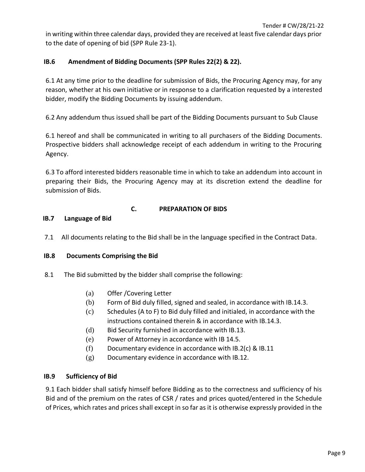in writing within three calendar days, provided they are received at least five calendar days prior to the date of opening of bid (SPP Rule 23-1).

#### **IB.6 Amendment of Bidding Documents (SPP Rules 22(2) & 22).**

6.1 At any time prior to the deadline for submission of Bids, the Procuring Agency may, for any reason, whether at his own initiative or in response to a clarification requested by a interested bidder, modify the Bidding Documents by issuing addendum.

6.2 Any addendum thus issued shall be part of the Bidding Documents pursuant to Sub Clause

6.1 hereof and shall be communicated in writing to all purchasers of the Bidding Documents. Prospective bidders shall acknowledge receipt of each addendum in writing to the Procuring Agency.

6.3 To afford interested bidders reasonable time in which to take an addendum into account in preparing their Bids, the Procuring Agency may at its discretion extend the deadline for submission of Bids.

#### **C. PREPARATION OF BIDS**

#### **IB.7 Language of Bid**

7.1 All documents relating to the Bid shall be in the language specified in the Contract Data.

#### **IB.8 Documents Comprising the Bid**

- 8.1 The Bid submitted by the bidder shall comprise the following:
	- (a) Offer /Covering Letter
	- (b) Form of Bid duly filled, signed and sealed, in accordance with IB.14.3.
	- (c) Schedules (A to F) to Bid duly filled and initialed, in accordance with the instructions contained therein & in accordance with IB.14.3.
	- (d) Bid Security furnished in accordance with IB.13.
	- (e) Power of Attorney in accordance with IB 14.5.
	- $(f)$  Documentary evidence in accordance with IB.2(c) & IB.11
	- (g) Documentary evidence in accordance with IB.12.

#### **IB.9 Sufficiency of Bid**

9.1 Each bidder shall satisfy himself before Bidding as to the correctness and sufficiency of his Bid and of the premium on the rates of CSR / rates and prices quoted/entered in the Schedule of Prices, which rates and prices shall except in so far as it is otherwise expressly provided in the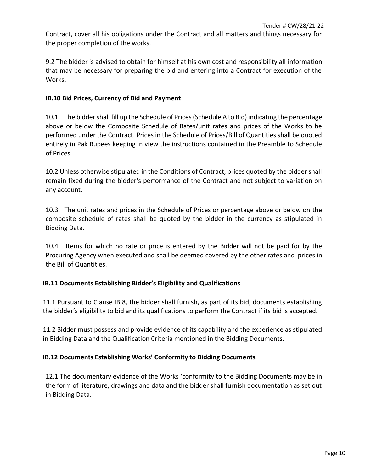Contract, cover all his obligations under the Contract and all matters and things necessary for the proper completion of the works.

9.2 The bidder is advised to obtain for himself at his own cost and responsibility all information that may be necessary for preparing the bid and entering into a Contract for execution of the Works.

#### **IB.10 Bid Prices, Currency of Bid and Payment**

10.1 The bidder shall fill up the Schedule of Prices (Schedule A to Bid) indicating the percentage above or below the Composite Schedule of Rates/unit rates and prices of the Works to be performed under the Contract. Prices in the Schedule of Prices/Bill of Quantities shall be quoted entirely in Pak Rupees keeping in view the instructions contained in the Preamble to Schedule of Prices.

10.2 Unless otherwise stipulated in the Conditions of Contract, prices quoted by the bidder shall remain fixed during the bidder's performance of the Contract and not subject to variation on any account.

10.3. The unit rates and prices in the Schedule of Prices or percentage above or below on the composite schedule of rates shall be quoted by the bidder in the currency as stipulated in Bidding Data.

10.4 Items for which no rate or price is entered by the Bidder will not be paid for by the Procuring Agency when executed and shall be deemed covered by the other rates and prices in the Bill of Quantities.

#### **IB.11 Documents Establishing Bidder's Eligibility and Qualifications**

11.1 Pursuant to Clause IB.8, the bidder shall furnish, as part of its bid, documents establishing the bidder's eligibility to bid and its qualifications to perform the Contract if its bid is accepted.

11.2 Bidder must possess and provide evidence of its capability and the experience as stipulated in Bidding Data and the Qualification Criteria mentioned in the Bidding Documents.

#### **IB.12 Documents Establishing Works' Conformity to Bidding Documents**

12.1 The documentary evidence of the Works 'conformity to the Bidding Documents may be in the form of literature, drawings and data and the bidder shall furnish documentation as set out in Bidding Data.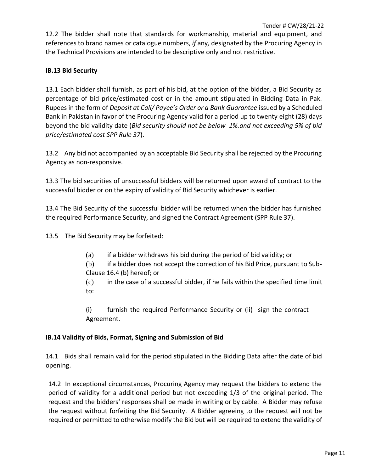12.2 The bidder shall note that standards for workmanship, material and equipment, and references to brand names or catalogue numbers, *if* any*,* designated by the Procuring Agency in the Technical Provisions are intended to be descriptive only and not restrictive.

#### **IB.13 Bid Security**

13.1 Each bidder shall furnish, as part of his bid, at the option of the bidder, a Bid Security as percentage of bid price/estimated cost or in the amount stipulated in Bidding Data in Pak. Rupees in the form of *Deposit at Call/ Payee's Order or a Bank Guarantee* issued by a Scheduled Bank in Pakistan in favor of the Procuring Agency valid for a period up to twenty eight (28) days beyond the bid validity date (*Bid security should not be below 1%.and not exceeding 5% of bid price/estimated cost SPP Rule 37*).

13.2 Any bid not accompanied by an acceptable Bid Security shall be rejected by the Procuring Agency as non-responsive.

13.3 The bid securities of unsuccessful bidders will be returned upon award of contract to the successful bidder or on the expiry of validity of Bid Security whichever is earlier.

13.4 The Bid Security of the successful bidder will be returned when the bidder has furnished the required Performance Security, and signed the Contract Agreement (SPP Rule 37).

13.5 The Bid Security may be forfeited:

(a) if a bidder withdraws his bid during the period of bid validity; or

(b) if a bidder does not accept the correction of his Bid Price, pursuant to Sub-Clause 16.4 (b) hereof; or

(c) in the case of a successful bidder, if he fails within the specified time limit to:

(i) furnish the required Performance Security or (ii) sign the contract Agreement.

#### **IB.14 Validity of Bids, Format, Signing and Submission of Bid**

14.1 Bids shall remain valid for the period stipulated in the Bidding Data after the date of bid opening.

14.2 In exceptional circumstances, Procuring Agency may request the bidders to extend the period of validity for a additional period but not exceeding 1/3 of the original period. The request and the bidders' responses shall be made in writing or by cable. A Bidder may refuse the request without forfeiting the Bid Security. A Bidder agreeing to the request will not be required or permitted to otherwise modify the Bid but will be required to extend the validity of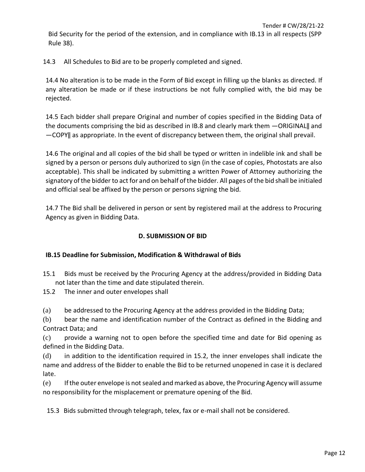Bid Security for the period of the extension, and in compliance with IB.13 in all respects (SPP Rule 38).

14.3 All Schedules to Bid are to be properly completed and signed.

14.4 No alteration is to be made in the Form of Bid except in filling up the blanks as directed. If any alteration be made or if these instructions be not fully complied with, the bid may be rejected.

14.5 Each bidder shall prepare Original and number of copies specified in the Bidding Data of the documents comprising the bid as described in IB.8 and clearly mark them —ORIGINAL|| and ―COPY‖ as appropriate. In the event of discrepancy between them, the original shall prevail.

14.6 The original and all copies of the bid shall be typed or written in indelible ink and shall be signed by a person or persons duly authorized to sign (in the case of copies, Photostats are also acceptable). This shall be indicated by submitting a written Power of Attorney authorizing the signatory of the bidder to act for and on behalf of the bidder. All pages of the bid shall be initialed and official seal be affixed by the person or persons signing the bid.

14.7 The Bid shall be delivered in person or sent by registered mail at the address to Procuring Agency as given in Bidding Data.

#### **D. SUBMISSION OF BID**

#### **IB.15 Deadline for Submission, Modification & Withdrawal of Bids**

- 15.1 Bids must be received by the Procuring Agency at the address/provided in Bidding Data not later than the time and date stipulated therein.
- 15.2 The inner and outer envelopes shall
- (a) be addressed to the Procuring Agency at the address provided in the Bidding Data;

(b) bear the name and identification number of the Contract as defined in the Bidding and Contract Data; and

(c) provide a warning not to open before the specified time and date for Bid opening as defined in the Bidding Data.

(d) in addition to the identification required in 15.2, the inner envelopes shall indicate the name and address of the Bidder to enable the Bid to be returned unopened in case it is declared late.

(e) If the outer envelope is not sealed and marked as above, the Procuring Agency will assume no responsibility for the misplacement or premature opening of the Bid.

15.3 Bids submitted through telegraph, telex, fax or e-mail shall not be considered.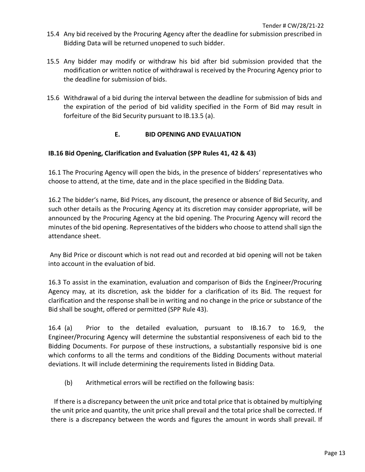- 15.4 Any bid received by the Procuring Agency after the deadline for submission prescribed in Bidding Data will be returned unopened to such bidder.
- 15.5 Any bidder may modify or withdraw his bid after bid submission provided that the modification or written notice of withdrawal is received by the Procuring Agency prior to the deadline for submission of bids.
- 15.6 Withdrawal of a bid during the interval between the deadline for submission of bids and the expiration of the period of bid validity specified in the Form of Bid may result in forfeiture of the Bid Security pursuant to IB.13.5 (a).

#### **E. BID OPENING AND EVALUATION**

#### **IB.16 Bid Opening, Clarification and Evaluation (SPP Rules 41, 42 & 43)**

16.1 The Procuring Agency will open the bids, in the presence of bidders' representatives who choose to attend, at the time, date and in the place specified in the Bidding Data.

16.2 The bidder's name, Bid Prices, any discount, the presence or absence of Bid Security, and such other details as the Procuring Agency at its discretion may consider appropriate, will be announced by the Procuring Agency at the bid opening. The Procuring Agency will record the minutes of the bid opening. Representatives of the bidders who choose to attend shall sign the attendance sheet.

Any Bid Price or discount which is not read out and recorded at bid opening will not be taken into account in the evaluation of bid.

16.3 To assist in the examination, evaluation and comparison of Bids the Engineer/Procuring Agency may, at its discretion, ask the bidder for a clarification of its Bid. The request for clarification and the response shall be in writing and no change in the price or substance of the Bid shall be sought, offered or permitted (SPP Rule 43).

16.4 (a) Prior to the detailed evaluation, pursuant to IB.16.7 to 16.9, the Engineer/Procuring Agency will determine the substantial responsiveness of each bid to the Bidding Documents. For purpose of these instructions, a substantially responsive bid is one which conforms to all the terms and conditions of the Bidding Documents without material deviations. It will include determining the requirements listed in Bidding Data.

(b) Arithmetical errors will be rectified on the following basis:

 If there is a discrepancy between the unit price and total price that is obtained by multiplying the unit price and quantity, the unit price shall prevail and the total price shall be corrected. If there is a discrepancy between the words and figures the amount in words shall prevail. If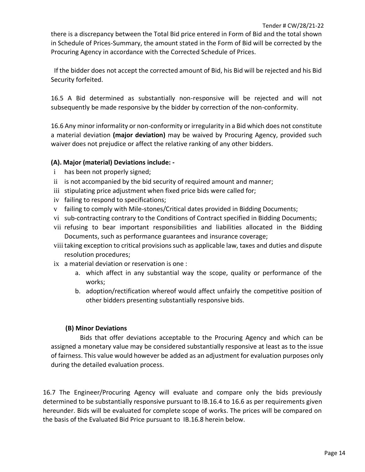there is a discrepancy between the Total Bid price entered in Form of Bid and the total shown in Schedule of Prices-Summary, the amount stated in the Form of Bid will be corrected by the Procuring Agency in accordance with the Corrected Schedule of Prices.

 If the bidder does not accept the corrected amount of Bid, his Bid will be rejected and his Bid Security forfeited.

16.5 A Bid determined as substantially non-responsive will be rejected and will not subsequently be made responsive by the bidder by correction of the non-conformity.

16.6 Any minor informality or non-conformity or irregularity in a Bid which does not constitute a material deviation **(major deviation)** may be waived by Procuring Agency, provided such waiver does not prejudice or affect the relative ranking of any other bidders.

#### **(A). Major (material) Deviations include: -**

- i has been not properly signed;
- ii is not accompanied by the bid security of required amount and manner;
- iii stipulating price adjustment when fixed price bids were called for;
- iv failing to respond to specifications;
- v failing to comply with Mile-stones/Critical dates provided in Bidding Documents;
- vi sub-contracting contrary to the Conditions of Contract specified in Bidding Documents;
- vii refusing to bear important responsibilities and liabilities allocated in the Bidding Documents, such as performance guarantees and insurance coverage;
- viii taking exception to critical provisions such as applicable law, taxes and duties and dispute resolution procedures;
- ix a material deviation or reservation is one :
	- a. which affect in any substantial way the scope, quality or performance of the works;
	- b. adoption/rectification whereof would affect unfairly the competitive position of other bidders presenting substantially responsive bids.

#### **(B) Minor Deviations**

 Bids that offer deviations acceptable to the Procuring Agency and which can be assigned a monetary value may be considered substantially responsive at least as to the issue of fairness. This value would however be added as an adjustment for evaluation purposes only during the detailed evaluation process.

16.7 The Engineer/Procuring Agency will evaluate and compare only the bids previously determined to be substantially responsive pursuant to IB.16.4 to 16.6 as per requirements given hereunder. Bids will be evaluated for complete scope of works. The prices will be compared on the basis of the Evaluated Bid Price pursuant to IB.16.8 herein below.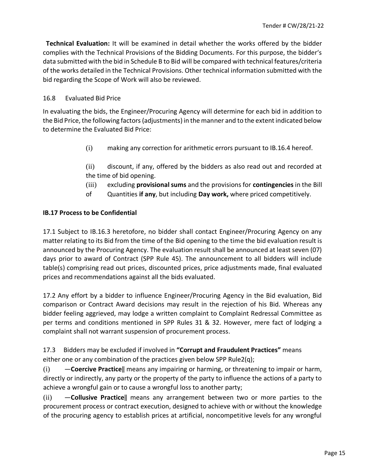**Technical Evaluation:** It will be examined in detail whether the works offered by the bidder complies with the Technical Provisions of the Bidding Documents. For this purpose, the bidder's data submitted with the bid in Schedule B to Bid will be compared with technical features/criteria of the works detailed in the Technical Provisions. Other technical information submitted with the bid regarding the Scope of Work will also be reviewed.

#### 16.8 Evaluated Bid Price

In evaluating the bids, the Engineer/Procuring Agency will determine for each bid in addition to the Bid Price, the following factors (adjustments) in the manner and to the extent indicated below to determine the Evaluated Bid Price:

- (i) making any correction for arithmetic errors pursuant to IB.16.4 hereof.
- (ii) discount, if any, offered by the bidders as also read out and recorded at the time of bid opening.
- (iii) excluding **provisional sums** and the provisions for **contingencies** in the Bill
- of Quantities **if any**, but including **Day work,** where priced competitively.

#### **IB.17 Process to be Confidential**

17.1 Subject to IB.16.3 heretofore, no bidder shall contact Engineer/Procuring Agency on any matter relating to its Bid from the time of the Bid opening to the time the bid evaluation result is announced by the Procuring Agency. The evaluation result shall be announced at least seven (07) days prior to award of Contract (SPP Rule 45). The announcement to all bidders will include table(s) comprising read out prices, discounted prices, price adjustments made, final evaluated prices and recommendations against all the bids evaluated.

17.2 Any effort by a bidder to influence Engineer/Procuring Agency in the Bid evaluation, Bid comparison or Contract Award decisions may result in the rejection of his Bid. Whereas any bidder feeling aggrieved, may lodge a written complaint to Complaint Redressal Committee as per terms and conditions mentioned in SPP Rules 31 & 32. However, mere fact of lodging a complaint shall not warrant suspension of procurement process.

17.3 Bidders may be excluded if involved in **"Corrupt and Fraudulent Practices"** means either one or any combination of the practices given below SPP Rule2(q);

(i) ―**Coercive Practice**‖ means any impairing or harming, or threatening to impair or harm, directly or indirectly, any party or the property of the party to influence the actions of a party to achieve a wrongful gain or to cause a wrongful loss to another party;

(ii) ―**Collusive Practice**‖ means any arrangement between two or more parties to the procurement process or contract execution, designed to achieve with or without the knowledge of the procuring agency to establish prices at artificial, noncompetitive levels for any wrongful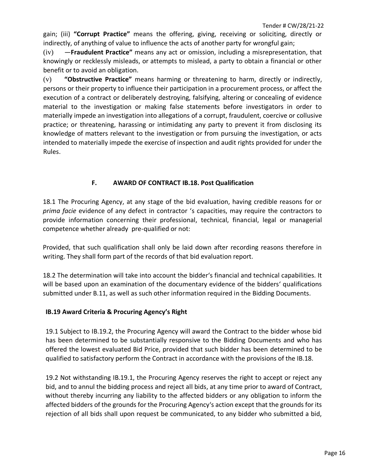gain; (iii) **"Corrupt Practice"** means the offering, giving, receiving or soliciting, directly or indirectly, of anything of value to influence the acts of another party for wrongful gain;

(iv) ―**Fraudulent Practice"** means any act or omission, including a misrepresentation, that knowingly or recklessly misleads, or attempts to mislead, a party to obtain a financial or other benefit or to avoid an obligation.

(v) **"Obstructive Practice"** means harming or threatening to harm, directly or indirectly, persons or their property to influence their participation in a procurement process, or affect the execution of a contract or deliberately destroying, falsifying, altering or concealing of evidence material to the investigation or making false statements before investigators in order to materially impede an investigation into allegations of a corrupt, fraudulent, coercive or collusive practice; or threatening, harassing or intimidating any party to prevent it from disclosing its knowledge of matters relevant to the investigation or from pursuing the investigation, or acts intended to materially impede the exercise of inspection and audit rights provided for under the Rules.

#### **F. AWARD OF CONTRACT IB.18. Post Qualification**

18.1 The Procuring Agency, at any stage of the bid evaluation, having credible reasons for or *prima facie* evidence of any defect in contractor 's capacities, may require the contractors to provide information concerning their professional, technical, financial, legal or managerial competence whether already pre-qualified or not:

Provided, that such qualification shall only be laid down after recording reasons therefore in writing. They shall form part of the records of that bid evaluation report.

18.2 The determination will take into account the bidder's financial and technical capabilities. It will be based upon an examination of the documentary evidence of the bidders' qualifications submitted under B.11, as well as such other information required in the Bidding Documents.

#### **IB.19 Award Criteria & Procuring Agency's Right**

19.1 Subject to IB.19.2, the Procuring Agency will award the Contract to the bidder whose bid has been determined to be substantially responsive to the Bidding Documents and who has offered the lowest evaluated Bid Price, provided that such bidder has been determined to be qualified to satisfactory perform the Contract in accordance with the provisions of the IB.18.

19.2 Not withstanding IB.19.1, the Procuring Agency reserves the right to accept or reject any bid, and to annul the bidding process and reject all bids, at any time prior to award of Contract, without thereby incurring any liability to the affected bidders or any obligation to inform the affected bidders of the grounds for the Procuring Agency's action except that the grounds for its rejection of all bids shall upon request be communicated, to any bidder who submitted a bid,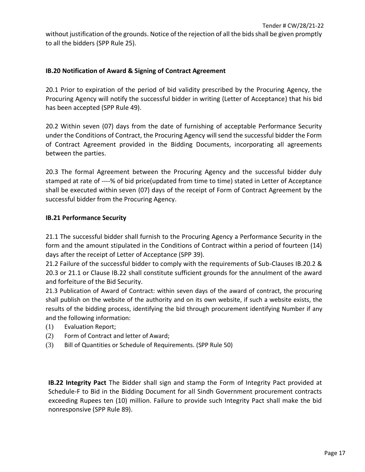without justification of the grounds. Notice of the rejection of all the bids shall be given promptly to all the bidders (SPP Rule 25).

#### **IB.20 Notification of Award & Signing of Contract Agreement**

20.1 Prior to expiration of the period of bid validity prescribed by the Procuring Agency, the Procuring Agency will notify the successful bidder in writing (Letter of Acceptance) that his bid has been accepted (SPP Rule 49).

20.2 Within seven (07) days from the date of furnishing of acceptable Performance Security under the Conditions of Contract, the Procuring Agency will send the successful bidder the Form of Contract Agreement provided in the Bidding Documents, incorporating all agreements between the parties.

20.3 The formal Agreement between the Procuring Agency and the successful bidder duly stamped at rate of ----% of bid price(updated from time to time) stated in Letter of Acceptance shall be executed within seven (07) days of the receipt of Form of Contract Agreement by the successful bidder from the Procuring Agency.

#### **IB.21 Performance Security**

21.1 The successful bidder shall furnish to the Procuring Agency a Performance Security in the form and the amount stipulated in the Conditions of Contract within a period of fourteen (14) days after the receipt of Letter of Acceptance (SPP 39).

21.2 Failure of the successful bidder to comply with the requirements of Sub-Clauses IB.20.2 & 20.3 or 21.1 or Clause IB.22 shall constitute sufficient grounds for the annulment of the award and forfeiture of the Bid Security.

21.3 Publication of Award of Contract: within seven days of the award of contract, the procuring shall publish on the website of the authority and on its own website, if such a website exists, the results of the bidding process, identifying the bid through procurement identifying Number if any and the following information:

- (1) Evaluation Report;
- (2) Form of Contract and letter of Award;
- (3) Bill of Quantities or Schedule of Requirements. (SPP Rule 50)

**IB.22 Integrity Pact** The Bidder shall sign and stamp the Form of Integrity Pact provided at Schedule-F to Bid in the Bidding Document for all Sindh Government procurement contracts exceeding Rupees ten (10) million. Failure to provide such Integrity Pact shall make the bid nonresponsive (SPP Rule 89).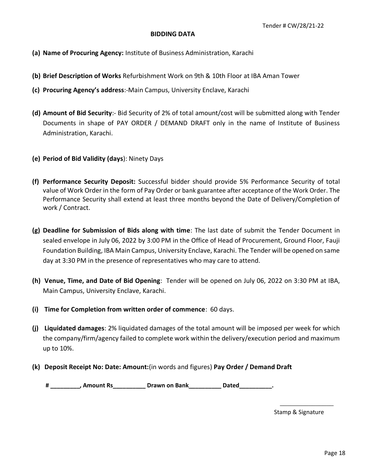#### **BIDDING DATA**

- **(a) Name of Procuring Agency:** Institute of Business Administration, Karachi
- **(b) Brief Description of Works** Refurbishment Work on 9th & 10th Floor at IBA Aman Tower
- **(c) Procuring Agency's address**:-Main Campus, University Enclave, Karachi
- **(d) Amount of Bid Security**:- Bid Security of 2% of total amount/cost will be submitted along with Tender Documents in shape of PAY ORDER / DEMAND DRAFT only in the name of Institute of Business Administration, Karachi.
- **(e) Period of Bid Validity (days**): Ninety Days
- **(f) Performance Security Deposit:** Successful bidder should provide 5% Performance Security of total value of Work Order in the form of Pay Order or bank guarantee after acceptance of the Work Order. The Performance Security shall extend at least three months beyond the Date of Delivery/Completion of work / Contract.
- **(g) Deadline for Submission of Bids along with time**: The last date of submit the Tender Document in sealed envelope in July 06, 2022 by 3:00 PM in the Office of Head of Procurement, Ground Floor, Fauji Foundation Building, IBA Main Campus, University Enclave, Karachi. The Tender will be opened on same day at 3:30 PM in the presence of representatives who may care to attend.
- **(h) Venue, Time, and Date of Bid Opening**: Tender will be opened on July 06, 2022 on 3:30 PM at IBA, Main Campus, University Enclave, Karachi.
- **(i) Time for Completion from written order of commence**: 60 days.
- **(j) Liquidated damages**: 2% liquidated damages of the total amount will be imposed per week for which the company/firm/agency failed to complete work within the delivery/execution period and maximum up to 10%.
- **(k) Deposit Receipt No: Date: Amount:**(in words and figures) **Pay Order / Demand Draft**

**# \_\_\_\_\_\_\_\_\_, Amount Rs\_\_\_\_\_\_\_\_\_\_ Drawn on Bank\_\_\_\_\_\_\_\_\_\_ Dated\_\_\_\_\_\_\_\_\_\_.**

Stamp & Signature

\_\_\_\_\_\_\_\_\_\_\_\_\_\_\_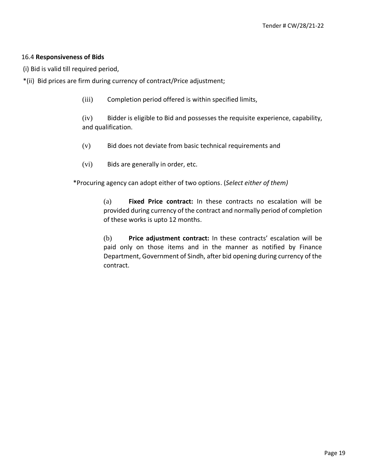#### 16.4 **Responsiveness of Bids**

(i) Bid is valid till required period,

- \*(ii) Bid prices are firm during currency of contract/Price adjustment;
	- (iii) Completion period offered is within specified limits,

(iv) Bidder is eligible to Bid and possesses the requisite experience, capability, and qualification.

- (v) Bid does not deviate from basic technical requirements and
- (vi) Bids are generally in order, etc.

\*Procuring agency can adopt either of two options. (*Select either of them)* 

(a) **Fixed Price contract:** In these contracts no escalation will be provided during currency of the contract and normally period of completion of these works is upto 12 months.

(b) **Price adjustment contract:** In these contracts' escalation will be paid only on those items and in the manner as notified by Finance Department, Government of Sindh, after bid opening during currency of the contract.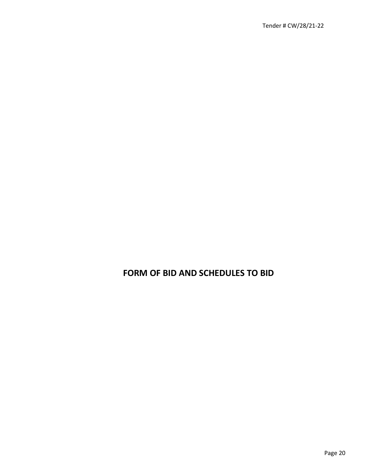### **FORM OF BID AND SCHEDULES TO BID**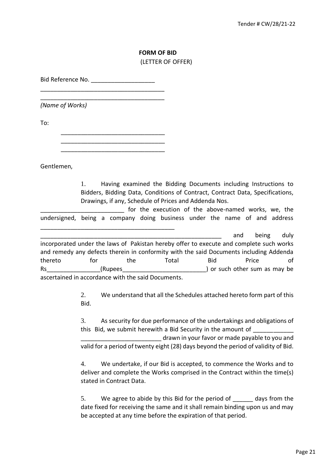#### **FORM OF BID**  (LETTER OF OFFER)

Bid Reference No.

\_\_\_\_\_\_\_\_\_\_\_\_\_\_\_\_\_\_\_\_\_\_\_\_\_\_\_\_\_\_\_\_\_\_\_\_\_ \_\_\_\_\_\_\_\_\_\_\_\_\_\_\_\_\_\_\_\_\_\_\_\_\_\_\_\_\_\_\_\_\_\_\_\_\_

*(Name of Works)* 

To:

\_\_\_\_\_\_\_\_\_\_\_\_\_\_\_\_\_\_\_\_\_\_\_\_\_\_\_\_\_\_\_ \_\_\_\_\_\_\_\_\_\_\_\_\_\_\_\_\_\_\_\_\_\_\_\_\_\_\_\_\_\_\_

\_\_\_\_\_\_\_\_\_\_\_\_\_\_\_\_\_\_\_\_\_\_\_\_\_\_\_\_\_\_\_\_\_\_\_\_\_\_\_\_

\_\_\_\_\_\_\_\_\_\_\_\_\_\_\_\_\_\_\_\_\_\_\_\_\_\_\_\_\_\_\_

Gentlemen,

1. Having examined the Bidding Documents including Instructions to Bidders, Bidding Data, Conditions of Contract, Contract Data, Specifications, Drawings, if any, Schedule of Prices and Addenda Nos.

for the execution of the above-named works, we, the undersigned, being a company doing business under the name of and address

\_\_\_\_\_\_\_\_\_\_\_\_\_\_\_\_\_\_\_\_\_\_\_\_\_\_\_\_\_\_\_\_\_\_\_\_\_\_\_\_\_\_\_\_\_\_\_\_\_\_\_\_\_\_ and being duly incorporated under the laws of Pakistan hereby offer to execute and complete such works and remedy any defects therein in conformity with the said Documents including Addenda thereto for the Total Bid Price of Rs The Communication (Rupees The Communication of Such other sum as may be resulted as  $\Gamma$ ascertained in accordance with the said Documents.

> 2. We understand that all the Schedules attached hereto form part of this Bid.

> 3. As security for due performance of the undertakings and obligations of this Bid, we submit herewith a Bid Security in the amount of \_\_\_\_\_\_\_\_\_\_\_\_\_\_\_\_\_\_\_\_\_\_\_\_ drawn in your favor or made payable to you and valid for a period of twenty eight (28) days beyond the period of validity of Bid.

> 4. We undertake, if our Bid is accepted, to commence the Works and to deliver and complete the Works comprised in the Contract within the time(s) stated in Contract Data.

> 5. We agree to abide by this Bid for the period of days from the date fixed for receiving the same and it shall remain binding upon us and may be accepted at any time before the expiration of that period.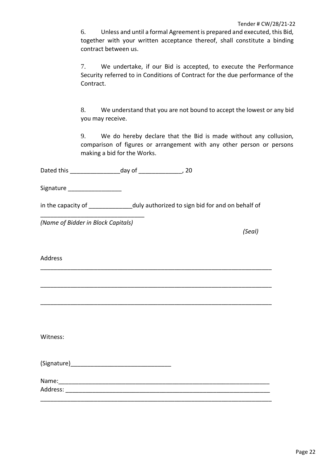6. Unless and until a formal Agreement is prepared and executed, this Bid, together with your written acceptance thereof, shall constitute a binding contract between us.

7. We undertake, if our Bid is accepted, to execute the Performance Security referred to in Conditions of Contract for the due performance of the Contract.

8. We understand that you are not bound to accept the lowest or any bid you may receive.

9. We do hereby declare that the Bid is made without any collusion, comparison of figures or arrangement with any other person or persons making a bid for the Works.

Dated this \_\_\_\_\_\_\_\_\_\_\_\_\_\_\_day of \_\_\_\_\_\_\_\_\_\_\_\_\_, 20

Signature **Executive** 

in the capacity of \_\_\_\_\_\_\_\_\_\_\_\_\_\_\_\_duly authorized to sign bid for and on behalf of

\_\_\_\_\_\_\_\_\_\_\_\_\_\_\_\_\_\_\_\_\_\_\_\_\_\_\_\_\_\_\_\_\_\_\_\_\_\_\_\_\_\_\_\_\_\_\_\_\_\_\_\_\_\_\_\_\_\_\_\_\_\_\_\_\_\_\_\_\_

\_\_\_\_\_\_\_\_\_\_\_\_\_\_\_\_\_\_\_\_\_\_\_\_\_\_\_\_\_\_\_\_\_\_\_\_\_\_\_\_\_\_\_\_\_\_\_\_\_\_\_\_\_\_\_\_\_\_\_\_\_\_\_\_\_\_\_\_\_

\_\_\_\_\_\_\_\_\_\_\_\_\_\_\_\_\_\_\_\_\_\_\_\_\_\_\_\_\_\_\_\_\_\_\_\_\_\_\_\_\_\_\_\_\_\_\_\_\_\_\_\_\_\_\_\_\_\_\_\_\_\_\_\_\_\_\_\_\_

\_\_\_\_\_\_\_\_\_\_\_\_\_\_\_\_\_\_\_\_\_\_\_\_\_\_\_\_\_\_\_\_\_\_\_\_\_\_\_\_\_\_\_\_\_\_\_\_\_\_\_\_\_\_\_\_\_\_\_\_\_\_\_\_\_\_\_\_\_

*(Name of Bidder in Block Capitals)* 

\_\_\_\_\_\_\_\_\_\_\_\_\_\_\_\_\_\_\_\_\_\_\_\_\_\_\_\_\_\_\_

*(Seal)* 

Address

Witness:

| (Signature) |
|-------------|
|-------------|

Name:

Address: \_\_\_\_\_\_\_\_\_\_\_\_\_\_\_\_\_\_\_\_\_\_\_\_\_\_\_\_\_\_\_\_\_\_\_\_\_\_\_\_\_\_\_\_\_\_\_\_\_\_\_\_\_\_\_\_\_\_\_\_\_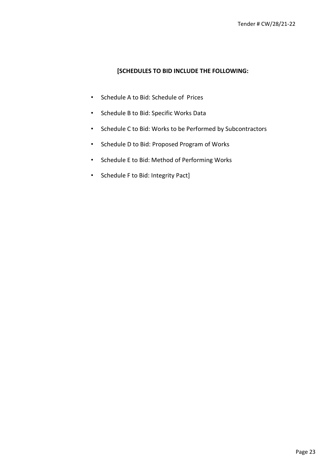#### **[SCHEDULES TO BID INCLUDE THE FOLLOWING:**

- Schedule A to Bid: Schedule of Prices
- Schedule B to Bid: Specific Works Data
- Schedule C to Bid: Works to be Performed by Subcontractors
- Schedule D to Bid: Proposed Program of Works
- Schedule E to Bid: Method of Performing Works
- Schedule F to Bid: Integrity Pact]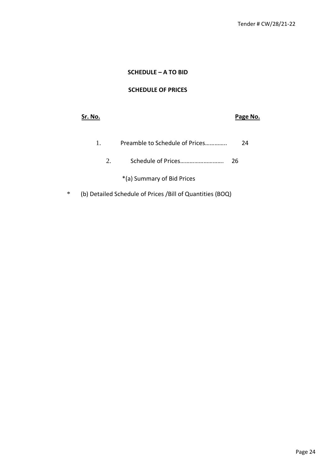#### **SCHEDULE – A TO BID**

#### **SCHEDULE OF PRICES**

| Sr. No. |                                | Page No. |
|---------|--------------------------------|----------|
| 1.      | Preamble to Schedule of Prices | 24       |
| 2.      | Schedule of Prices             | 26       |
|         | *(a) Summary of Bid Prices     |          |

\* (b) Detailed Schedule of Prices /Bill of Quantities (BOQ)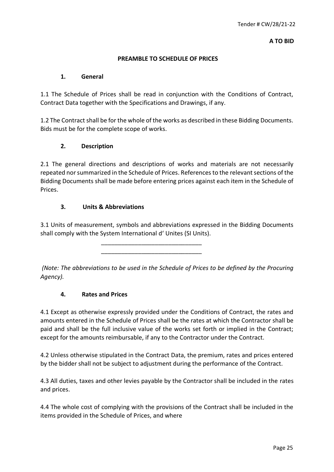**A TO BID** 

#### **PREAMBLE TO SCHEDULE OF PRICES**

#### **1. General**

1.1 The Schedule of Prices shall be read in conjunction with the Conditions of Contract, Contract Data together with the Specifications and Drawings, if any.

1.2 The Contract shall be for the whole of the works as described in these Bidding Documents. Bids must be for the complete scope of works.

#### **2. Description**

2.1 The general directions and descriptions of works and materials are not necessarily repeated nor summarized in the Schedule of Prices. References to the relevant sections of the Bidding Documents shall be made before entering prices against each item in the Schedule of Prices.

#### **3. Units & Abbreviations**

3.1 Units of measurement, symbols and abbreviations expressed in the Bidding Documents shall comply with the System International d' Unites (SI Units).

> \_\_\_\_\_\_\_\_\_\_\_\_\_\_\_\_\_\_\_\_\_\_\_\_\_\_\_\_\_\_ \_\_\_\_\_\_\_\_\_\_\_\_\_\_\_\_\_\_\_\_\_\_\_\_\_\_\_\_\_\_

*(Note: The abbreviations to be used in the Schedule of Prices to be defined by the Procuring Agency).* 

#### **4. Rates and Prices**

4.1 Except as otherwise expressly provided under the Conditions of Contract, the rates and amounts entered in the Schedule of Prices shall be the rates at which the Contractor shall be paid and shall be the full inclusive value of the works set forth or implied in the Contract; except for the amounts reimbursable, if any to the Contractor under the Contract.

4.2 Unless otherwise stipulated in the Contract Data, the premium, rates and prices entered by the bidder shall not be subject to adjustment during the performance of the Contract.

4.3 All duties, taxes and other levies payable by the Contractor shall be included in the rates and prices.

4.4 The whole cost of complying with the provisions of the Contract shall be included in the items provided in the Schedule of Prices, and where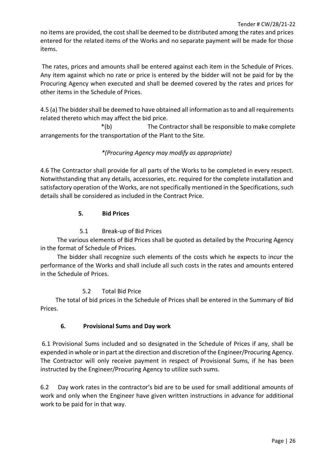no items are provided, the cost shall be deemed to be distributed among the rates and prices entered for the related items of the Works and no separate payment will be made for those items.

The rates, prices and amounts shall be entered against each item in the Schedule of Prices. Any item against which no rate or price is entered by the bidder will not be paid for by the Procuring Agency when executed and shall be deemed covered by the rates and prices for other items in the Schedule of Prices.

4.5 (a) The bidder shall be deemed to have obtained all information as to and all requirements related thereto which may affect the bid price.

\*(b) The Contractor shall be responsible to make complete arrangements for the transportation of the Plant to the Site.

#### *\*(Procuring Agency may modify as appropriate)*

4.6 The Contractor shall provide for all parts of the Works to be completed in every respect. Notwithstanding that any details, accessories, etc. required for the complete installation and satisfactory operation of the Works, are not specifically mentioned in the Specifications, such details shall be considered as included in the Contract Price.

#### **5. Bid Prices**

#### 5.1 Break-up of Bid Prices

 The various elements of Bid Prices shall be quoted as detailed by the Procuring Agency in the format of Schedule of Prices.

 The bidder shall recognize such elements of the costs which he expects to incur the performance of the Works and shall include all such costs in the rates and amounts entered in the Schedule of Prices.

#### 5.2 Total Bid Price

 The total of bid prices in the Schedule of Prices shall be entered in the Summary of Bid Prices.

#### **6. Provisional Sums and Day work**

6.1 Provisional Sums included and so designated in the Schedule of Prices if any, shall be expended in whole or in part at the direction and discretion of the Engineer/Procuring Agency. The Contractor will only receive payment in respect of Provisional Sums, if he has been instructed by the Engineer/Procuring Agency to utilize such sums.

6.2 Day work rates in the contractor's bid are to be used for small additional amounts of work and only when the Engineer have given written instructions in advance for additional work to be paid for in that way.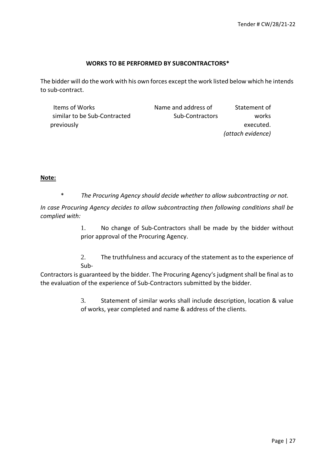#### **WORKS TO BE PERFORMED BY SUBCONTRACTORS\***

The bidder will do the work with his own forces except the work listed below which he intends to sub-contract.

| Items of Works               | Name and address of | Statement of      |
|------------------------------|---------------------|-------------------|
| similar to be Sub-Contracted | Sub-Contractors     | works             |
| previously                   |                     | executed.         |
|                              |                     | (attach evidence) |

#### **Note:**

\* *The Procuring Agency should decide whether to allow subcontracting or not.* 

*In case Procuring Agency decides to allow subcontracting then following conditions shall be complied with:* 

> 1. No change of Sub-Contractors shall be made by the bidder without prior approval of the Procuring Agency.

> 2. The truthfulness and accuracy of the statement as to the experience of Sub-

Contractors is guaranteed by the bidder. The Procuring Agency's judgment shall be final as to the evaluation of the experience of Sub-Contractors submitted by the bidder.

> 3. Statement of similar works shall include description, location & value of works, year completed and name & address of the clients.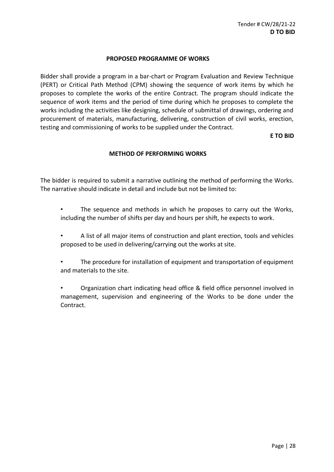#### **PROPOSED PROGRAMME OF WORKS**

Bidder shall provide a program in a bar-chart or Program Evaluation and Review Technique (PERT) or Critical Path Method (CPM) showing the sequence of work items by which he proposes to complete the works of the entire Contract. The program should indicate the sequence of work items and the period of time during which he proposes to complete the works including the activities like designing, schedule of submittal of drawings, ordering and procurement of materials, manufacturing, delivering, construction of civil works, erection, testing and commissioning of works to be supplied under the Contract.

**E TO BID**

#### **METHOD OF PERFORMING WORKS**

The bidder is required to submit a narrative outlining the method of performing the Works. The narrative should indicate in detail and include but not be limited to:

- The sequence and methods in which he proposes to carry out the Works, including the number of shifts per day and hours per shift, he expects to work.
- A list of all major items of construction and plant erection, tools and vehicles proposed to be used in delivering/carrying out the works at site.
- The procedure for installation of equipment and transportation of equipment and materials to the site.
- Organization chart indicating head office & field office personnel involved in management, supervision and engineering of the Works to be done under the Contract.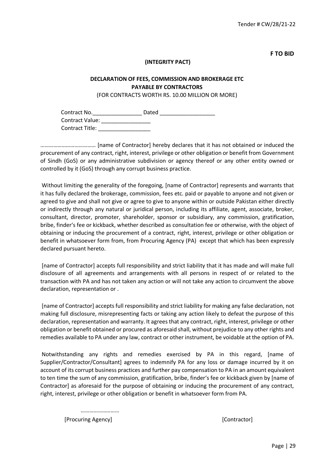**F TO BID** 

#### **(INTEGRITY PACT)**

#### **DECLARATION OF FEES, COMMISSION AND BROKERAGE ETC PAYABLE BY CONTRACTORS**

(FOR CONTRACTS WORTH RS. 10.00 MILLION OR MORE)

Contract No.\_\_\_\_\_\_\_\_\_\_\_\_\_\_\_\_ Dated \_\_\_\_\_\_\_\_\_\_\_\_\_\_\_\_\_\_ Contract Value: \_\_\_\_\_\_\_\_\_\_\_\_\_\_\_\_ Contract Title: \_\_\_\_\_\_\_\_\_\_\_\_\_\_\_\_\_

………………………………… [name of Contractor] hereby declares that it has not obtained or induced the procurement of any contract, right, interest, privilege or other obligation or benefit from Government of Sindh (GoS) or any administrative subdivision or agency thereof or any other entity owned or controlled by it (GoS) through any corrupt business practice.

Without limiting the generality of the foregoing, [name of Contractor] represents and warrants that it has fully declared the brokerage, commission, fees etc. paid or payable to anyone and not given or agreed to give and shall not give or agree to give to anyone within or outside Pakistan either directly or indirectly through any natural or juridical person, including its affiliate, agent, associate, broker, consultant, director, promoter, shareholder, sponsor or subsidiary, any commission, gratification, bribe, finder's fee or kickback, whether described as consultation fee or otherwise, with the object of obtaining or inducing the procurement of a contract, right, interest, privilege or other obligation or benefit in whatsoever form from, from Procuring Agency (PA) except that which has been expressly declared pursuant hereto.

[name of Contractor] accepts full responsibility and strict liability that it has made and will make full disclosure of all agreements and arrangements with all persons in respect of or related to the transaction with PA and has not taken any action or will not take any action to circumvent the above declaration, representation or .

[name of Contractor] accepts full responsibility and strict liability for making any false declaration, not making full disclosure, misrepresenting facts or taking any action likely to defeat the purpose of this declaration, representation and warranty. It agrees that any contract, right, interest, privilege or other obligation or benefit obtained or procured as aforesaid shall, without prejudice to any other rights and remedies available to PA under any law, contract or other instrument, be voidable at the option of PA.

Notwithstanding any rights and remedies exercised by PA in this regard, [name of Supplier/Contractor/Consultant] agrees to indemnify PA for any loss or damage incurred by it on account of its corrupt business practices and further pay compensation to PA in an amount equivalent to ten time the sum of any commission, gratification, bribe, finder's fee or kickback given by [name of Contractor] as aforesaid for the purpose of obtaining or inducing the procurement of any contract, right, interest, privilege or other obligation or benefit in whatsoever form from PA.

……………………… [Procuring Agency] [Contractor]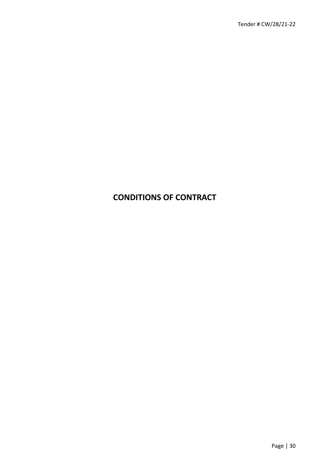### **CONDITIONS OF CONTRACT**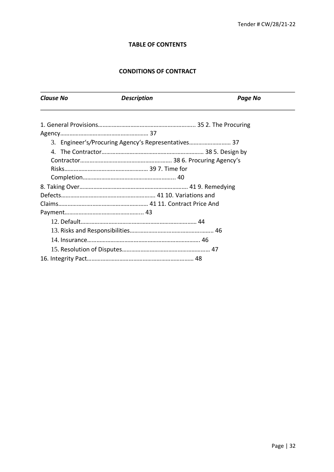#### **TABLE OF CONTENTS**

#### **CONDITIONS OF CONTRACT**

| <b>Clause No</b> | <b>Description</b>                                  | <b>Page No</b> |
|------------------|-----------------------------------------------------|----------------|
|                  |                                                     |                |
|                  |                                                     |                |
|                  | 3. Engineer's/Procuring Agency's Representatives 37 |                |
|                  |                                                     |                |
|                  |                                                     |                |
|                  |                                                     |                |
|                  |                                                     |                |
|                  |                                                     |                |
|                  |                                                     |                |
|                  |                                                     |                |
|                  |                                                     |                |
|                  |                                                     |                |
|                  |                                                     |                |
|                  |                                                     |                |
|                  |                                                     |                |
|                  |                                                     |                |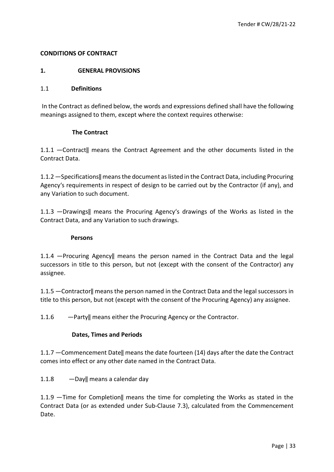#### **CONDITIONS OF CONTRACT**

#### **1. GENERAL PROVISIONS**

#### 1.1 **Definitions**

In the Contract as defined below, the words and expressions defined shall have the following meanings assigned to them, except where the context requires otherwise:

#### **The Contract**

1.1.1 ―Contract‖ means the Contract Agreement and the other documents listed in the Contract Data.

1.1.2 ―Specifications‖ means the document as listed in the Contract Data, including Procuring Agency's requirements in respect of design to be carried out by the Contractor (if any), and any Variation to such document.

1.1.3 ―Drawings‖ means the Procuring Agency's drawings of the Works as listed in the Contract Data, and any Variation to such drawings.

#### **Persons**

1.1.4 ―Procuring Agency‖ means the person named in the Contract Data and the legal successors in title to this person, but not (except with the consent of the Contractor) any assignee.

1.1.5 ―Contractor‖ means the person named in the Contract Data and the legal successors in title to this person, but not (except with the consent of the Procuring Agency) any assignee.

1.1.6 — Party|| means either the Procuring Agency or the Contractor.

#### **Dates, Times and Periods**

1.1.7 ―Commencement Date‖ means the date fourteen (14) days after the date the Contract comes into effect or any other date named in the Contract Data.

1.1.8 —  $\Delta$  — Day|| means a calendar day

1.1.9 ―Time for Completion‖ means the time for completing the Works as stated in the Contract Data (or as extended under Sub-Clause 7.3), calculated from the Commencement Date.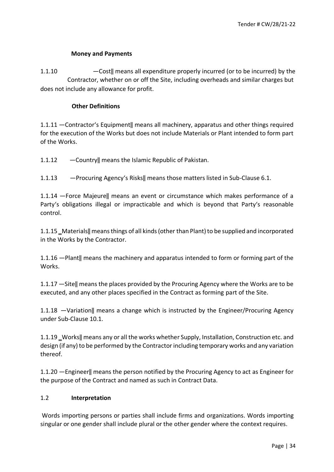#### **Money and Payments**

1.1.10 ―Cost‖ means all expenditure properly incurred (or to be incurred) by the Contractor, whether on or off the Site, including overheads and similar charges but does not include any allowance for profit.

#### **Other Definitions**

1.1.11 ―Contractor's Equipment‖ means all machinery, apparatus and other things required for the execution of the Works but does not include Materials or Plant intended to form part of the Works.

1.1.12 ―Country‖ means the Islamic Republic of Pakistan.

1.1.13 — Procuring Agency's Risks|| means those matters listed in Sub-Clause 6.1.

1.1.14 ―Force Majeure‖ means an event or circumstance which makes performance of a Party's obligations illegal or impracticable and which is beyond that Party's reasonable control.

1.1.15 ‗Materials‖ means things of all kinds (other than Plant) to be supplied and incorporated in the Works by the Contractor.

1.1.16 ―Plant‖ means the machinery and apparatus intended to form or forming part of the Works.

1.1.17 ―Site‖ means the places provided by the Procuring Agency where the Works are to be executed, and any other places specified in the Contract as forming part of the Site.

1.1.18 ―Variation‖ means a change which is instructed by the Engineer/Procuring Agency under Sub-Clause 10.1.

1.1.19 Works|| means any or all the works whether Supply, Installation, Construction etc. and design (if any) to be performed by the Contractor including temporary works and any variation thereof.

1.1.20 ―Engineer‖ means the person notified by the Procuring Agency to act as Engineer for the purpose of the Contract and named as such in Contract Data.

#### 1.2 **Interpretation**

Words importing persons or parties shall include firms and organizations. Words importing singular or one gender shall include plural or the other gender where the context requires.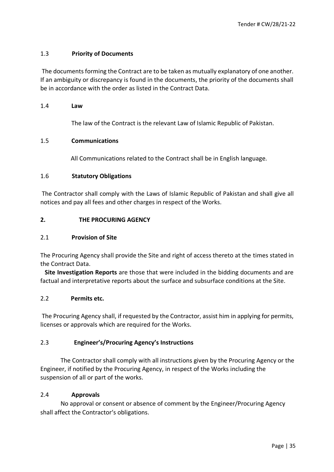#### 1.3 **Priority of Documents**

The documents forming the Contract are to be taken as mutually explanatory of one another. If an ambiguity or discrepancy is found in the documents, the priority of the documents shall be in accordance with the order as listed in the Contract Data.

#### 1.4 **Law**

The law of the Contract is the relevant Law of Islamic Republic of Pakistan.

#### 1.5 **Communications**

All Communications related to the Contract shall be in English language.

#### 1.6 **Statutory Obligations**

The Contractor shall comply with the Laws of Islamic Republic of Pakistan and shall give all notices and pay all fees and other charges in respect of the Works.

#### **2. THE PROCURING AGENCY**

#### 2.1 **Provision of Site**

The Procuring Agency shall provide the Site and right of access thereto at the times stated in the Contract Data.

 **Site Investigation Reports** are those that were included in the bidding documents and are factual and interpretative reports about the surface and subsurface conditions at the Site.

#### 2.2 **Permits etc.**

The Procuring Agency shall, if requested by the Contractor, assist him in applying for permits, licenses or approvals which are required for the Works.

#### 2.3 **Engineer's/Procuring Agency's Instructions**

The Contractor shall comply with all instructions given by the Procuring Agency or the Engineer, if notified by the Procuring Agency, in respect of the Works including the suspension of all or part of the works.

#### 2.4 **Approvals**

 No approval or consent or absence of comment by the Engineer/Procuring Agency shall affect the Contractor's obligations.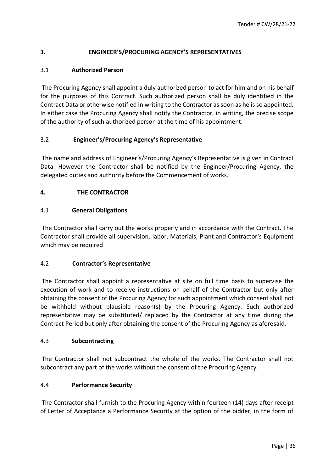#### **3. ENGINEER'S/PROCURING AGENCY'S REPRESENTATIVES**

#### 3.1 **Authorized Person**

The Procuring Agency shall appoint a duly authorized person to act for him and on his behalf for the purposes of this Contract. Such authorized person shall be duly identified in the Contract Data or otherwise notified in writing to the Contractor as soon as he is so appointed. In either case the Procuring Agency shall notify the Contractor, in writing, the precise scope of the authority of such authorized person at the time of his appointment.

#### 3.2 **Engineer's/Procuring Agency's Representative**

The name and address of Engineer's/Procuring Agency's Representative is given in Contract Data. However the Contractor shall be notified by the Engineer/Procuring Agency, the delegated duties and authority before the Commencement of works.

#### **4. THE CONTRACTOR**

#### 4.1 **General Obligations**

The Contractor shall carry out the works properly and in accordance with the Contract. The Contractor shall provide all supervision, labor, Materials, Plant and Contractor's Equipment which may be required

#### 4.2 **Contractor's Representative**

The Contractor shall appoint a representative at site on full time basis to supervise the execution of work and to receive instructions on behalf of the Contractor but only after obtaining the consent of the Procuring Agency for such appointment which consent shall not be withheld without plausible reason(s) by the Procuring Agency. Such authorized representative may be substituted/ replaced by the Contractor at any time during the Contract Period but only after obtaining the consent of the Procuring Agency as aforesaid.

#### 4.3 **Subcontracting**

The Contractor shall not subcontract the whole of the works. The Contractor shall not subcontract any part of the works without the consent of the Procuring Agency.

#### 4.4 **Performance Security**

The Contractor shall furnish to the Procuring Agency within fourteen (14) days after receipt of Letter of Acceptance a Performance Security at the option of the bidder, in the form of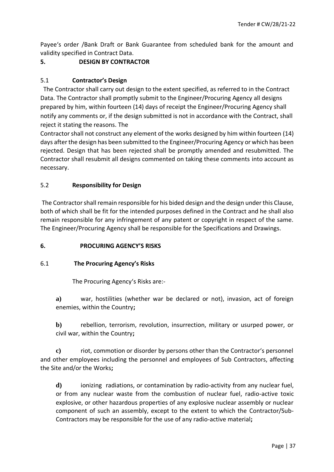Payee's order /Bank Draft or Bank Guarantee from scheduled bank for the amount and validity specified in Contract Data.

# **5. DESIGN BY CONTRACTOR**

# 5.1 **Contractor's Design**

 The Contractor shall carry out design to the extent specified, as referred to in the Contract Data. The Contractor shall promptly submit to the Engineer/Procuring Agency all designs prepared by him, within fourteen (14) days of receipt the Engineer/Procuring Agency shall notify any comments or, if the design submitted is not in accordance with the Contract, shall reject it stating the reasons. The

Contractor shall not construct any element of the works designed by him within fourteen (14) days after the design has been submitted to the Engineer/Procuring Agency or which has been rejected. Design that has been rejected shall be promptly amended and resubmitted. The Contractor shall resubmit all designs commented on taking these comments into account as necessary.

# 5.2 **Responsibility for Design**

The Contractor shall remain responsible for his bided design and the design under this Clause, both of which shall be fit for the intended purposes defined in the Contract and he shall also remain responsible for any infringement of any patent or copyright in respect of the same. The Engineer/Procuring Agency shall be responsible for the Specifications and Drawings.

## **6. PROCURING AGENCY'S RISKS**

## 6.1 **The Procuring Agency's Risks**

The Procuring Agency's Risks are:-

**a)** war, hostilities (whether war be declared or not), invasion, act of foreign enemies, within the Country**;**

**b)** rebellion, terrorism, revolution, insurrection, military or usurped power, or civil war, within the Country**;**

**c)** riot, commotion or disorder by persons other than the Contractor's personnel and other employees including the personnel and employees of Sub Contractors, affecting the Site and/or the Works**;**

**d)** ionizing radiations, or contamination by radio-activity from any nuclear fuel, or from any nuclear waste from the combustion of nuclear fuel, radio-active toxic explosive, or other hazardous properties of any explosive nuclear assembly or nuclear component of such an assembly, except to the extent to which the Contractor/Sub-Contractors may be responsible for the use of any radio-active material**;**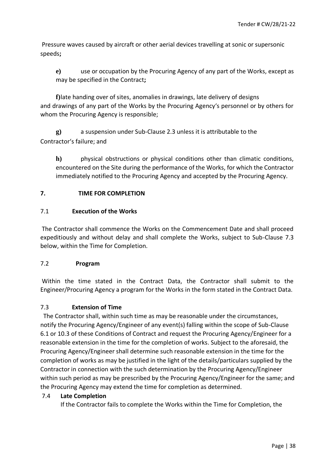Pressure waves caused by aircraft or other aerial devices travelling at sonic or supersonic speeds**;**

**e)** use or occupation by the Procuring Agency of any part of the Works, except as may be specified in the Contract**;**

**f)**late handing over of sites, anomalies in drawings, late delivery of designs and drawings of any part of the Works by the Procuring Agency's personnel or by others for whom the Procuring Agency is responsible;

**g)** a suspension under Sub-Clause 2.3 unless it is attributable to the Contractor's failure; and

**h)** physical obstructions or physical conditions other than climatic conditions, encountered on the Site during the performance of the Works, for which the Contractor immediately notified to the Procuring Agency and accepted by the Procuring Agency.

## **7. TIME FOR COMPLETION**

## 7.1 **Execution of the Works**

The Contractor shall commence the Works on the Commencement Date and shall proceed expeditiously and without delay and shall complete the Works, subject to Sub-Clause 7.3 below, within the Time for Completion.

## 7.2 **Program**

Within the time stated in the Contract Data, the Contractor shall submit to the Engineer/Procuring Agency a program for the Works in the form stated in the Contract Data.

## 7.3 **Extension of Time**

 The Contractor shall, within such time as may be reasonable under the circumstances, notify the Procuring Agency/Engineer of any event(s) falling within the scope of Sub-Clause 6.1 or 10.3 of these Conditions of Contract and request the Procuring Agency/Engineer for a reasonable extension in the time for the completion of works. Subject to the aforesaid, the Procuring Agency/Engineer shall determine such reasonable extension in the time for the completion of works as may be justified in the light of the details/particulars supplied by the Contractor in connection with the such determination by the Procuring Agency/Engineer within such period as may be prescribed by the Procuring Agency/Engineer for the same; and the Procuring Agency may extend the time for completion as determined.

## 7.4 **Late Completion**

If the Contractor fails to complete the Works within the Time for Completion, the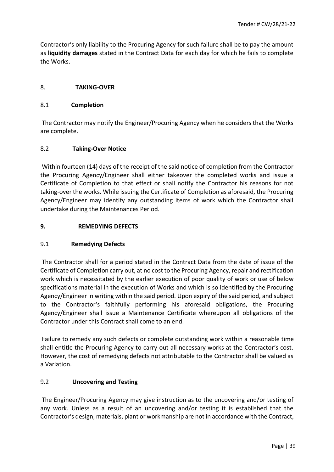Contractor's only liability to the Procuring Agency for such failure shall be to pay the amount as **liquidity damages** stated in the Contract Data for each day for which he fails to complete the Works.

## 8. **TAKING-OVER**

## 8.1 **Completion**

The Contractor may notify the Engineer/Procuring Agency when he considers that the Works are complete.

## 8.2 **Taking-Over Notice**

Within fourteen (14) days of the receipt of the said notice of completion from the Contractor the Procuring Agency/Engineer shall either takeover the completed works and issue a Certificate of Completion to that effect or shall notify the Contractor his reasons for not taking-over the works. While issuing the Certificate of Completion as aforesaid, the Procuring Agency/Engineer may identify any outstanding items of work which the Contractor shall undertake during the Maintenances Period.

## **9. REMEDYING DEFECTS**

## 9.1 **Remedying Defects**

The Contractor shall for a period stated in the Contract Data from the date of issue of the Certificate of Completion carry out, at no cost to the Procuring Agency, repair and rectification work which is necessitated by the earlier execution of poor quality of work or use of below specifications material in the execution of Works and which is so identified by the Procuring Agency/Engineer in writing within the said period. Upon expiry of the said period, and subject to the Contractor's faithfully performing his aforesaid obligations, the Procuring Agency/Engineer shall issue a Maintenance Certificate whereupon all obligations of the Contractor under this Contract shall come to an end.

Failure to remedy any such defects or complete outstanding work within a reasonable time shall entitle the Procuring Agency to carry out all necessary works at the Contractor's cost. However, the cost of remedying defects not attributable to the Contractor shall be valued as a Variation.

# 9.2 **Uncovering and Testing**

The Engineer/Procuring Agency may give instruction as to the uncovering and/or testing of any work. Unless as a result of an uncovering and/or testing it is established that the Contractor's design, materials, plant or workmanship are not in accordance with the Contract,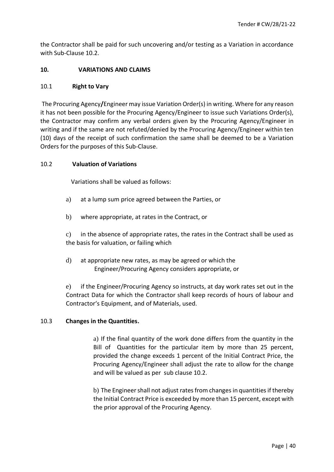the Contractor shall be paid for such uncovering and/or testing as a Variation in accordance with Sub-Clause 10.2.

## **10. VARIATIONS AND CLAIMS**

#### 10.1 **Right to Vary**

The Procuring Agency**/**Engineer may issue Variation Order(s) in writing. Where for any reason it has not been possible for the Procuring Agency/Engineer to issue such Variations Order(s), the Contractor may confirm any verbal orders given by the Procuring Agency/Engineer in writing and if the same are not refuted/denied by the Procuring Agency/Engineer within ten (10) days of the receipt of such confirmation the same shall be deemed to be a Variation Orders for the purposes of this Sub-Clause.

#### 10.2 **Valuation of Variations**

Variations shall be valued as follows:

- a) at a lump sum price agreed between the Parties, or
- b) where appropriate, at rates in the Contract, or

c) in the absence of appropriate rates, the rates in the Contract shall be used as the basis for valuation, or failing which

d) at appropriate new rates, as may be agreed or which the Engineer/Procuring Agency considers appropriate, or

e) if the Engineer/Procuring Agency so instructs, at day work rates set out in the Contract Data for which the Contractor shall keep records of hours of labour and Contractor's Equipment, and of Materials, used.

## 10.3 **Changes in the Quantities.**

a) If the final quantity of the work done differs from the quantity in the Bill of Quantities for the particular item by more than 25 percent, provided the change exceeds 1 percent of the Initial Contract Price, the Procuring Agency/Engineer shall adjust the rate to allow for the change and will be valued as per sub clause 10.2.

b) The Engineer shall not adjust rates from changes in quantities if thereby the Initial Contract Price is exceeded by more than 15 percent, except with the prior approval of the Procuring Agency.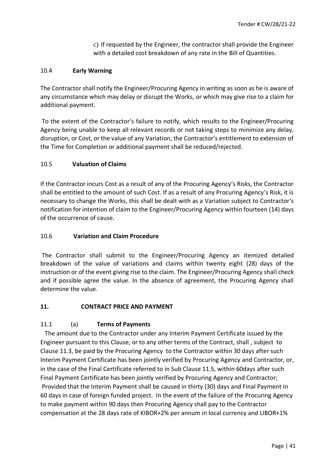c) If requested by the Engineer, the contractor shall provide the Engineer with a detailed cost breakdown of any rate in the Bill of Quantities.

## 10.4 **Early Warning**

The Contractor shall notify the Engineer/Procuring Agency in writing as soon as he is aware of any circumstance which may delay or disrupt the Works, or which may give rise to a claim for additional payment.

To the extent of the Contractor's failure to notify, which results to the Engineer/Procuring Agency being unable to keep all relevant records or not taking steps to minimize any delay, disruption, or Cost, or the value of any Variation, the Contractor's entitlement to extension of the Time for Completion or additional payment shall be reduced/rejected.

## 10.5 **Valuation of Claims**

If the Contractor incurs Cost as a result of any of the Procuring Agency's Risks, the Contractor shall be entitled to the amount of such Cost. If as a result of any Procuring Agency's Risk, it is necessary to change the Works, this shall be dealt with as a Variation subject to Contractor's notification for intention of claim to the Engineer/Procuring Agency within fourteen (14) days of the occurrence of cause.

## 10.6 **Variation and Claim Procedure**

The Contractor shall submit to the Engineer/Procuring Agency an itemized detailed breakdown of the value of variations and claims within twenty eight (28) days of the instruction or of the event giving rise to the claim. The Engineer/Procuring Agency shall check and if possible agree the value. In the absence of agreement, the Procuring Agency shall determine the value.

## **11. CONTRACT PRICE AND PAYMENT**

# 11.1 (a) **Terms of Payments**

 The amount due to the Contractor under any Interim Payment Certificate issued by the Engineer pursuant to this Clause, or to any other terms of the Contract, shall , subject to Clause 11.3, be paid by the Procuring Agency to the Contractor within 30 days after such Interim Payment Certificate has been jointly verified by Procuring Agency and Contractor, or, in the case of the Final Certificate referred to in Sub Clause 11.5, within 60days after such Final Payment Certificate has been jointly verified by Procuring Agency and Contractor; Provided that the Interim Payment shall be caused in thirty (30) days and Final Payment in 60 days in case of foreign funded project. In the event of the failure of the Procuring Agency to make payment within 90 days then Procuring Agency shall pay to the Contractor compensation at the 28 days rate of KIBOR+2% per annum in local currency and LIBOR+1%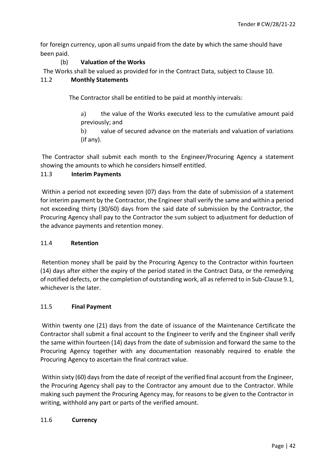for foreign currency, upon all sums unpaid from the date by which the same should have been paid.

# (b) **Valuation of the Works**

The Works shall be valued as provided for in the Contract Data, subject to Clause 10.

# 11.2 **Monthly Statements**

The Contractor shall be entitled to be paid at monthly intervals:

- a) the value of the Works executed less to the cumulative amount paid previously; and
- b) value of secured advance on the materials and valuation of variations (if any).

The Contractor shall submit each month to the Engineer/Procuring Agency a statement showing the amounts to which he considers himself entitled.

# 11.3 **Interim Payments**

Within a period not exceeding seven (07) days from the date of submission of a statement for interim payment by the Contractor, the Engineer shall verify the same and within a period not exceeding thirty (30/60) days from the said date of submission by the Contractor, the Procuring Agency shall pay to the Contractor the sum subject to adjustment for deduction of the advance payments and retention money.

# 11.4 **Retention**

Retention money shall be paid by the Procuring Agency to the Contractor within fourteen (14) days after either the expiry of the period stated in the Contract Data, or the remedying of notified defects, or the completion of outstanding work, all as referred to in Sub-Clause 9.1, whichever is the later.

# 11.5 **Final Payment**

Within twenty one (21) days from the date of issuance of the Maintenance Certificate the Contractor shall submit a final account to the Engineer to verify and the Engineer shall verify the same within fourteen (14) days from the date of submission and forward the same to the Procuring Agency together with any documentation reasonably required to enable the Procuring Agency to ascertain the final contract value.

Within sixty (60) days from the date of receipt of the verified final account from the Engineer, the Procuring Agency shall pay to the Contractor any amount due to the Contractor. While making such payment the Procuring Agency may, for reasons to be given to the Contractor in writing, withhold any part or parts of the verified amount.

# 11.6 **Currency**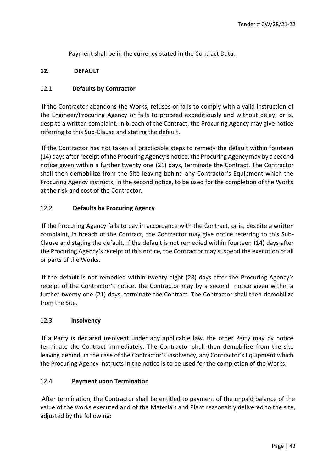Payment shall be in the currency stated in the Contract Data.

## **12. DEFAULT**

## 12.1 **Defaults by Contractor**

If the Contractor abandons the Works, refuses or fails to comply with a valid instruction of the Engineer/Procuring Agency or fails to proceed expeditiously and without delay, or is, despite a written complaint, in breach of the Contract, the Procuring Agency may give notice referring to this Sub-Clause and stating the default.

If the Contractor has not taken all practicable steps to remedy the default within fourteen (14) days after receipt of the Procuring Agency's notice, the Procuring Agency may by a second notice given within a further twenty one (21) days, terminate the Contract. The Contractor shall then demobilize from the Site leaving behind any Contractor's Equipment which the Procuring Agency instructs, in the second notice, to be used for the completion of the Works at the risk and cost of the Contractor.

## 12.2 **Defaults by Procuring Agency**

If the Procuring Agency fails to pay in accordance with the Contract, or is, despite a written complaint, in breach of the Contract, the Contractor may give notice referring to this Sub-Clause and stating the default. If the default is not remedied within fourteen (14) days after the Procuring Agency's receipt of this notice, the Contractor may suspend the execution of all or parts of the Works.

If the default is not remedied within twenty eight (28) days after the Procuring Agency's receipt of the Contractor's notice, the Contractor may by a second notice given within a further twenty one (21) days, terminate the Contract. The Contractor shall then demobilize from the Site.

## 12.3 **Insolvency**

If a Party is declared insolvent under any applicable law, the other Party may by notice terminate the Contract immediately. The Contractor shall then demobilize from the site leaving behind, in the case of the Contractor's insolvency, any Contractor's Equipment which the Procuring Agency instructs in the notice is to be used for the completion of the Works.

## 12.4 **Payment upon Termination**

After termination, the Contractor shall be entitled to payment of the unpaid balance of the value of the works executed and of the Materials and Plant reasonably delivered to the site, adjusted by the following: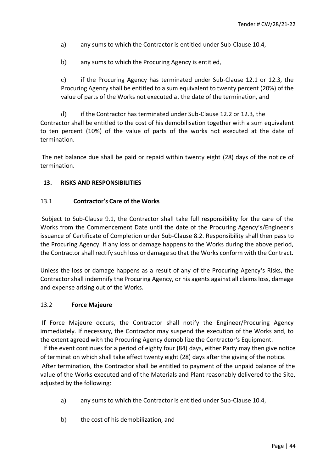- a) any sums to which the Contractor is entitled under Sub-Clause 10.4,
- b) any sums to which the Procuring Agency is entitled,

c) if the Procuring Agency has terminated under Sub-Clause 12.1 or 12.3, the Procuring Agency shall be entitled to a sum equivalent to twenty percent (20%) of the value of parts of the Works not executed at the date of the termination, and

d) if the Contractor has terminated under Sub-Clause 12.2 or 12.3*,* the Contractor shall be entitled to the cost of his demobilisation together with a sum equivalent to ten percent (10%) of the value of parts of the works not executed at the date of termination.

The net balance due shall be paid or repaid within twenty eight (28) days of the notice of termination.

## **13. RISKS AND RESPONSIBILITIES**

## 13.1 **Contractor's Care of the Works**

Subject to Sub-Clause 9.1, the Contractor shall take full responsibility for the care of the Works from the Commencement Date until the date of the Procuring Agency's/Engineer's issuance of Certificate of Completion under Sub-Clause 8.2. Responsibility shall then pass to the Procuring Agency. If any loss or damage happens to the Works during the above period, the Contractor shall rectify such loss or damage so that the Works conform with the Contract.

Unless the loss or damage happens as a result of any of the Procuring Agency's Risks, the Contractor shall indemnify the Procuring Agency, or his agents against all claims loss, damage and expense arising out of the Works.

## 13.2 **Force Majeure**

If Force Majeure occurs, the Contractor shall notify the Engineer/Procuring Agency immediately. If necessary, the Contractor may suspend the execution of the Works and, to the extent agreed with the Procuring Agency demobilize the Contractor's Equipment.

 If the event continues for a period of eighty four (84) days, either Party may then give notice of termination which shall take effect twenty eight (28) days after the giving of the notice. After termination, the Contractor shall be entitled to payment of the unpaid balance of the value of the Works executed and of the Materials and Plant reasonably delivered to the Site, adjusted by the following:

- a) any sums to which the Contractor is entitled under Sub-Clause 10.4,
- b) the cost of his demobilization, and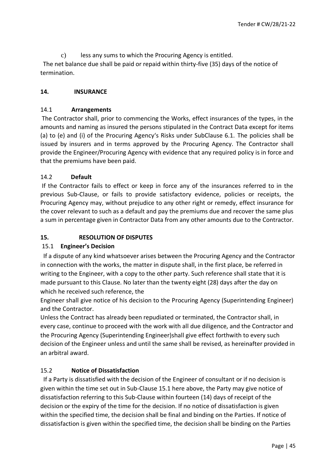c) less any sums to which the Procuring Agency is entitled.

The net balance due shall be paid or repaid within thirty-five (35) days of the notice of termination.

# **14. INSURANCE**

# 14.1 **Arrangements**

The Contractor shall, prior to commencing the Works, effect insurances of the types, in the amounts and naming as insured the persons stipulated in the Contract Data except for items (a) to (e) and (i) of the Procuring Agency's Risks under SubClause 6.1. The policies shall be issued by insurers and in terms approved by the Procuring Agency. The Contractor shall provide the Engineer/Procuring Agency with evidence that any required policy is in force and that the premiums have been paid.

# 14.2 **Default**

If the Contractor fails to effect or keep in force any of the insurances referred to in the previous Sub-Clause, or fails to provide satisfactory evidence, policies or receipts, the Procuring Agency may, without prejudice to any other right or remedy, effect insurance for the cover relevant to such as a default and pay the premiums due and recover the same plus a sum in percentage given in Contractor Data from any other amounts due to the Contractor.

# **15. RESOLUTION OF DISPUTES**

# 15.1 **Engineer's Decision**

 If a dispute of any kind whatsoever arises between the Procuring Agency and the Contractor in connection with the works, the matter in dispute shall, in the first place, be referred in writing to the Engineer, with a copy to the other party. Such reference shall state that it is made pursuant to this Clause. No later than the twenty eight (28) days after the day on which he received such reference, the

Engineer shall give notice of his decision to the Procuring Agency (Superintending Engineer) and the Contractor.

Unless the Contract has already been repudiated or terminated, the Contractor shall, in every case, continue to proceed with the work with all due diligence, and the Contractor and the Procuring Agency (Superintending Engineer)shall give effect forthwith to every such decision of the Engineer unless and until the same shall be revised, as hereinafter provided in an arbitral award.

# 15.2 **Notice of Dissatisfaction**

 If a Party is dissatisfied with the decision of the Engineer of consultant or if no decision is given within the time set out in Sub-Clause 15.1 here above, the Party may give notice of dissatisfaction referring to this Sub-Clause within fourteen (14) days of receipt of the decision or the expiry of the time for the decision. If no notice of dissatisfaction is given within the specified time, the decision shall be final and binding on the Parties. If notice of dissatisfaction is given within the specified time, the decision shall be binding on the Parties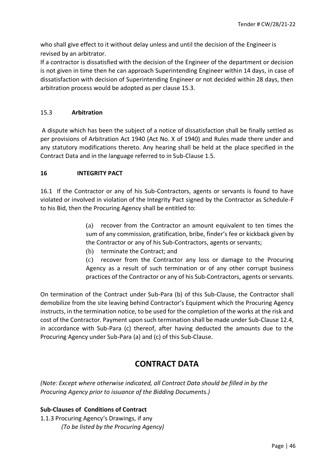who shall give effect to it without delay unless and until the decision of the Engineer is revised by an arbitrator.

If a contractor is dissatisfied with the decision of the Engineer of the department or decision is not given in time then he can approach Superintending Engineer within 14 days, in case of dissatisfaction with decision of Superintending Engineer or not decided within 28 days, then arbitration process would be adopted as per clause 15.3.

## 15.3 **Arbitration**

A dispute which has been the subject of a notice of dissatisfaction shall be finally settled as per provisions of Arbitration Act 1940 (Act No. X of 1940) and Rules made there under and any statutory modifications thereto. Any hearing shall be held at the place specified in the Contract Data and in the language referred to in Sub-Clause 1.5.

## **16 INTEGRITY PACT**

16.1 If the Contractor or any of his Sub-Contractors, agents or servants is found to have violated or involved in violation of the Integrity Pact signed by the Contractor as Schedule-F to his Bid, then the Procuring Agency shall be entitled to:

> (a) recover from the Contractor an amount equivalent to ten times the sum of any commission, gratification, bribe, finder's fee or kickback given by the Contractor or any of his Sub-Contractors, agents or servants;

(b) terminate the Contract; and

(c) recover from the Contractor any loss or damage to the Procuring Agency as a result of such termination or of any other corrupt business practices of the Contractor or any of his Sub-Contractors, agents or servants.

On termination of the Contract under Sub-Para (b) of this Sub-Clause, the Contractor shall demobilize from the site leaving behind Contractor's Equipment which the Procuring Agency instructs, in the termination notice, to be used for the completion of the works at the risk and cost of the Contractor. Payment upon such termination shall be made under Sub-Clause 12.4, in accordance with Sub-Para (c) thereof, after having deducted the amounts due to the Procuring Agency under Sub-Para (a) and (c) of this Sub-Clause.

# **CONTRACT DATA**

*(Note: Except where otherwise indicated, all Contract Data should be filled in by the Procuring Agency prior to issuance of the Bidding Documents.)* 

# **Sub-Clauses of Conditions of Contract**

1.1.3 Procuring Agency's Drawings, if any *(To be listed by the Procuring Agency)*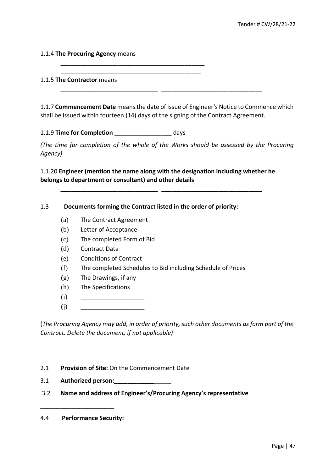## 1.1.4 **The Procuring Agency** means

#### 1.1.5 **The Contractor** means

1.1.7 **Commencement Date** means the date of issue of Engineer's Notice to Commence which shall be issued within fourteen (14) days of the signing of the Contract Agreement.

**\_\_\_\_\_\_\_\_\_\_\_\_\_\_\_\_\_\_\_\_\_\_\_\_\_\_\_\_\_ \_\_\_\_\_\_\_\_\_\_\_\_\_\_\_\_\_\_\_\_\_\_\_\_\_\_\_\_\_\_** 

1.1.9 **Time for Completion** \_\_\_\_\_\_\_\_\_\_\_\_\_\_\_\_\_ days

**\_\_\_\_\_\_\_\_\_\_\_\_\_\_\_\_\_\_\_\_\_\_\_\_\_\_\_\_\_\_\_\_\_\_\_\_\_\_\_\_\_\_\_ \_\_\_\_\_\_\_\_\_\_\_\_\_\_\_\_\_\_\_\_\_\_\_\_\_\_\_\_\_\_\_\_\_\_\_\_\_\_\_\_\_\_** 

*(The time for completion of the whole of the Works should be assessed by the Procuring Agency)* 

1.1.20 **Engineer (mention the name along with the designation including whether he belongs to department or consultant) and other details**

**\_\_\_\_\_\_\_\_\_\_\_\_\_\_\_\_\_\_\_\_\_\_\_\_\_\_\_\_\_ \_\_\_\_\_\_\_\_\_\_\_\_\_\_\_\_\_\_\_\_\_\_\_\_\_\_\_\_\_\_**

#### 1.3 **Documents forming the Contract listed in the order of priority:**

- (a) The Contract Agreement
- (b) Letter of Acceptance
- (c) The completed Form of Bid
- (d) Contract Data
- (e) Conditions of Contract
- (f) The completed Schedules to Bid including Schedule of Prices
- (g) The Drawings, if any
- (h) The Specifications
- (i) \_\_\_\_\_\_\_\_\_\_\_\_\_\_\_\_\_\_\_
- (j) \_\_\_\_\_\_\_\_\_\_\_\_\_\_\_\_\_\_\_

(*The Procuring Agency may add, in order of priority, such other documents as form part of the Contract. Delete the document, if not applicable)* 

- 2.1 **Provision of Site:** On the Commencement Date
- 3.1 **Authorized person:\_\_\_\_\_\_\_\_\_\_\_\_**\_\_\_\_\_

\_\_\_\_\_\_\_\_\_\_\_\_\_\_\_\_\_\_\_\_\_\_

3.2 **Name and address of Engineer's/Procuring Agency's representative** 

<sup>4.4</sup> **Performance Security:**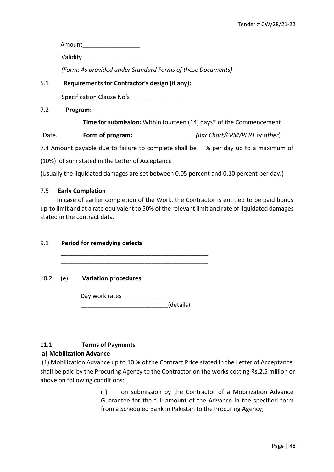Amount\_\_\_\_\_\_\_\_\_\_\_\_\_\_\_\_\_ Validity\_\_\_\_\_\_\_\_\_\_\_\_\_\_\_\_\_ *(Form: As provided under Standard Forms of these Documents)*  5.1 **Requirements for Contractor's design (if any):** Specification Clause No's 7.2 **Program: Time for submission:** Within fourteen (14) days\* of the Commencement

Date. **Form of program:** *CODECALL EXAMPLERS* (Bar Chart/CPM/PERT or other)

7.4 Amount payable due to failure to complete shall be  $\%$  per day up to a maximum of

(10%) of sum stated in the Letter of Acceptance

(Usually the liquidated damages are set between 0.05 percent and 0.10 percent per day.)

## 7.5 **Early Completion**

 In case of earlier completion of the Work, the Contractor is entitled to be paid bonus up-to limit and at a rate equivalent to 50% of the relevant limit and rate of liquidated damages stated in the contract data.

## 9.1 **Period for remedying defects**

10.2 (e) **Variation procedures:** 

Day work rates\_\_\_\_\_\_\_\_\_\_\_\_\_\_  $\blacksquare$ 

\_\_\_\_\_\_\_\_\_\_\_\_\_\_\_\_\_\_\_\_\_\_\_\_\_\_\_\_\_\_\_\_\_\_\_\_\_\_\_\_\_\_\_\_ \_\_\_\_\_\_\_\_\_\_\_\_\_\_\_\_\_\_\_\_\_\_\_\_\_\_\_\_\_\_\_\_\_\_\_\_\_\_\_\_\_\_\_\_

# 11.1 **Terms of Payments**

## **a) Mobilization Advance**

(1) Mobilization Advance up to 10 % of the Contract Price stated in the Letter of Acceptance shall be paid by the Procuring Agency to the Contractor on the works costing Rs.2.5 million or above on following conditions:

> (i) on submission by the Contractor of a Mobilization Advance Guarantee for the full amount of the Advance in the specified form from a Scheduled Bank in Pakistan to the Procuring Agency;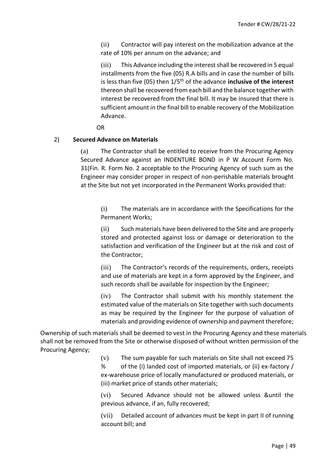(ii) Contractor will pay interest on the mobilization advance at the rate of 10% per annum on the advance; and

(iii) This Advance including the interest shall be recovered in 5 equal installments from the five (05) R.A bills and in case the number of bills is less than five (05) then 1/5<sup>th</sup> of the advance **inclusive of the interest** thereon shall be recovered from each bill and the balance together with interest be recovered from the final bill. It may be insured that there is sufficient amount in the final bill to enable recovery of the Mobilization Advance.

**OR** STREET STREET AND THE STREET STREET STREET AND THE STREET STREET STREET AND THE STREET STREET AND THE STREET AND THE STREET AND THE STREET AND THE STREET AND THE STREET AND THE STREET AND THE STREET AND THE STREET AND

## 2) **Secured Advance on Materials**

(a) The Contractor shall be entitled to receive from the Procuring Agency Secured Advance against an INDENTURE BOND in P W Account Form No. 31(Fin. R. Form No. 2 acceptable to the Procuring Agency of such sum as the Engineer may consider proper in respect of non-perishable materials brought at the Site but not yet incorporated in the Permanent Works provided that:

(i) The materials are in accordance with the Specifications for the Permanent Works;

(ii) Such materials have been delivered to the Site and are properly stored and protected against loss or damage or deterioration to the satisfaction and verification of the Engineer but at the risk and cost of the Contractor;

(iii) The Contractor's records of the requirements, orders, receipts and use of materials are kept in a form approved by the Engineer, and such records shall be available for inspection by the Engineer;

(iv) The Contractor shall submit with his monthly statement the estimated value of the materials on Site together with such documents as may be required by the Engineer for the purpose of valuation of materials and providing evidence of ownership and payment therefore;

Ownership of such materials shall be deemed to vest in the Procuring Agency and these materials shall not be removed from the Site or otherwise disposed of without written permission of the Procuring Agency;

> (v) The sum payable for such materials on Site shall not exceed 75 % of the (i) landed cost of imported materials, or (ii) ex-factory / ex-warehouse price of locally manufactured or produced materials, or (iii) market price of stands other materials;

> (vi) Secured Advance should not be allowed unless &until the previous advance, if an, fully recovered;

> (vii) Detailed account of advances must be kept in part II of running account bill; and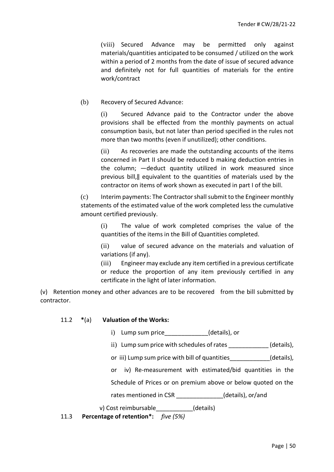(viii) Secured Advance may be permitted only against materials/quantities anticipated to be consumed / utilized on the work within a period of 2 months from the date of issue of secured advance and definitely not for full quantities of materials for the entire work/contract

(b) Recovery of Secured Advance:

(i) Secured Advance paid to the Contractor under the above provisions shall be effected from the monthly payments on actual consumption basis, but not later than period specified in the rules not more than two months (even if unutilized); other conditions.

(ii) As recoveries are made the outstanding accounts of the items concerned in Part II should be reduced b making deduction entries in the column; ―deduct quantity utilized in work measured since previous bill,‖ equivalent to the quantities of materials used by the contractor on items of work shown as executed in part I of the bill.

(c) Interim payments: The Contractor shall submit to the Engineer monthly statements of the estimated value of the work completed less the cumulative amount certified previously.

(i) The value of work completed comprises the value of the quantities of the items in the Bill of Quantities completed.

(ii) value of secured advance on the materials and valuation of variations (if any).

(iii) Engineer may exclude any item certified in a previous certificate or reduce the proportion of any item previously certified in any certificate in the light of later information.

(v) Retention money and other advances are to be recovered from the bill submitted by contractor.

| 11.2 | $*(a)$ | <b>Valuation of the Works:</b> |
|------|--------|--------------------------------|
|------|--------|--------------------------------|

- i) Lump sum price (details), or
- ii) Lump sum price with schedules of rates (details),
- or iii) Lump sum price with bill of quantities (details),
- or iv) Re-measurement with estimated/bid quantities in the

Schedule of Prices or on premium above or below quoted on the

rates mentioned in CSR (details), or/and

v) Cost reimbursable (details)

11.3 **Percentage of retention\*:** *five (5%)*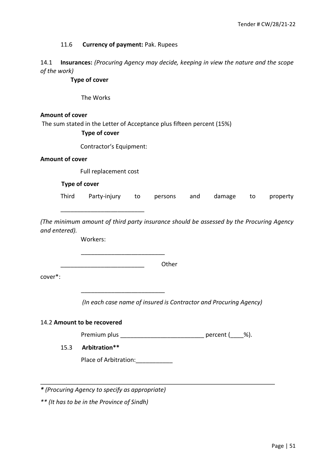#### 11.6 **Currency of payment:** Pak. Rupees

14.1 **Insurances:** *(Procuring Agency may decide, keeping in view the nature and the scope of the work)* 

**Type of cover** 

The Works

#### **Amount of cover**

The sum stated in the Letter of Acceptance plus fifteen percent (15%)

#### **Type of cover**

Contractor's Equipment:

#### **Amount of cover**

Full replacement cost

\_\_\_\_\_\_\_\_\_\_\_\_\_\_\_\_\_\_\_\_\_\_\_\_\_

#### **Type of cover**

| Third | . Party-injury to persons and damage to property |  |  |  |  |  |  |
|-------|--------------------------------------------------|--|--|--|--|--|--|
|-------|--------------------------------------------------|--|--|--|--|--|--|

*(The minimum amount of third party insurance should be assessed by the Procuring Agency and entered).* 

Workers:

\_\_\_\_\_\_\_\_\_\_\_\_\_\_\_\_\_\_\_\_\_\_\_\_\_ Other

cover\*:

*(In each case name of insured is Contractor and Procuring Agency)* 

#### 14.2 **Amount to be recovered**

Premium plus \_\_\_\_\_\_\_\_\_\_\_\_\_\_\_\_\_\_\_\_\_\_\_\_\_\_\_\_\_\_\_ percent (\_\_\_\_%).

# 15.3 **Arbitration\*\***

Place of Arbitration: \_\_\_\_\_\_\_\_\_\_\_\_

\_\_\_\_\_\_\_\_\_\_\_\_\_\_\_\_\_\_\_\_\_\_\_\_\_

*\* (Procuring Agency to specify as appropriate)* 

*\*\* (It has to be in the Province of Sindh)*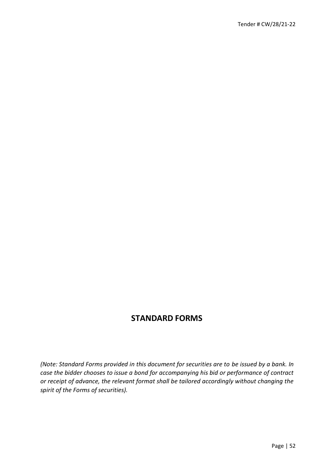# **STANDARD FORMS**

*(Note: Standard Forms provided in this document for securities are to be issued by a bank. In case the bidder chooses to issue a bond for accompanying his bid or performance of contract or receipt of advance, the relevant format shall be tailored accordingly without changing the spirit of the Forms of securities).*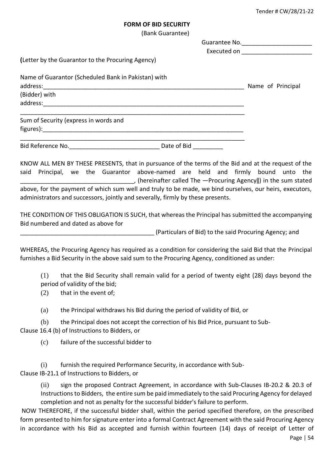#### **FORM OF BID SECURITY**

(Bank Guarantee)

|                           | (Letter by the Guarantor to the Procuring Agency)                               |                                                                                                                                                                                                                                                                                                                                                                                                                                                                                                                                                                                                                 | Executed on ___________________________ |
|---------------------------|---------------------------------------------------------------------------------|-----------------------------------------------------------------------------------------------------------------------------------------------------------------------------------------------------------------------------------------------------------------------------------------------------------------------------------------------------------------------------------------------------------------------------------------------------------------------------------------------------------------------------------------------------------------------------------------------------------------|-----------------------------------------|
| address:<br>(Bidder) with | Name of Guarantor (Scheduled Bank in Pakistan) with                             |                                                                                                                                                                                                                                                                                                                                                                                                                                                                                                                                                                                                                 |                                         |
|                           |                                                                                 |                                                                                                                                                                                                                                                                                                                                                                                                                                                                                                                                                                                                                 |                                         |
|                           | Sum of Security (express in words and                                           |                                                                                                                                                                                                                                                                                                                                                                                                                                                                                                                                                                                                                 |                                         |
|                           | Bid Reference No. __________________________________ Date of Bid __________     |                                                                                                                                                                                                                                                                                                                                                                                                                                                                                                                                                                                                                 |                                         |
| said                      | administrators and successors, jointly and severally, firmly by these presents. | KNOW ALL MEN BY THESE PRESENTS, that in pursuance of the terms of the Bid and at the request of the<br>Principal, we the Guarantor above-named are held and firmly bound<br>(hereinafter called The --Procuring Agency  ) in the sum stated [10] (10) the sum stated<br>above, for the payment of which sum well and truly to be made, we bind ourselves, our heirs, executors,<br>THE CONDITION OF THIS OBLIGATION IS SUCH, that whereas the Principal has submitted the accompanying                                                                                                                          | unto the                                |
|                           | Bid numbered and dated as above for                                             |                                                                                                                                                                                                                                                                                                                                                                                                                                                                                                                                                                                                                 |                                         |
|                           |                                                                                 | (Particulars of Bid) to the said Procuring Agency; and                                                                                                                                                                                                                                                                                                                                                                                                                                                                                                                                                          |                                         |
| (1)                       |                                                                                 | WHEREAS, the Procuring Agency has required as a condition for considering the said Bid that the Principal<br>furnishes a Bid Security in the above said sum to the Procuring Agency, conditioned as under:<br>that the Bid Security shall remain valid for a period of twenty eight (28) days beyond the                                                                                                                                                                                                                                                                                                        |                                         |
| (2)                       | period of validity of the bid;<br>that in the event of;                         |                                                                                                                                                                                                                                                                                                                                                                                                                                                                                                                                                                                                                 |                                         |
| (a)                       |                                                                                 | the Principal withdraws his Bid during the period of validity of Bid, or                                                                                                                                                                                                                                                                                                                                                                                                                                                                                                                                        |                                         |
| (b)                       | Clause 16.4 (b) of Instructions to Bidders, or                                  | the Principal does not accept the correction of his Bid Price, pursuant to Sub-                                                                                                                                                                                                                                                                                                                                                                                                                                                                                                                                 |                                         |
| (c)                       | failure of the successful bidder to                                             |                                                                                                                                                                                                                                                                                                                                                                                                                                                                                                                                                                                                                 |                                         |
| (i)                       | Clause IB-21.1 of Instructions to Bidders, or                                   | furnish the required Performance Security, in accordance with Sub-                                                                                                                                                                                                                                                                                                                                                                                                                                                                                                                                              |                                         |
| (ii)                      |                                                                                 | sign the proposed Contract Agreement, in accordance with Sub-Clauses IB-20.2 & 20.3 of<br>Instructions to Bidders, the entire sum be paid immediately to the said Procuring Agency for delayed<br>completion and not as penalty for the successful bidder's failure to perform.<br>NOW THEREFORE, if the successful bidder shall, within the period specified therefore, on the prescribed<br>form presented to him for signature enter into a formal Contract Agreement with the said Procuring Agency<br>in accordance with his Bid as accepted and furnish within fourteen (14) days of receipt of Letter of |                                         |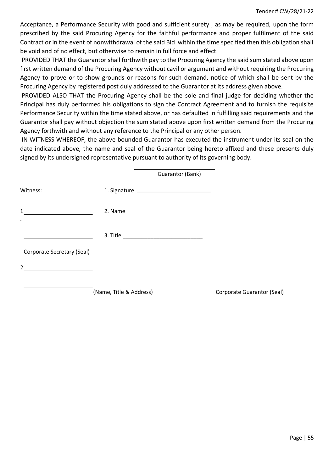Acceptance, a Performance Security with good and sufficient surety , as may be required, upon the form prescribed by the said Procuring Agency for the faithful performance and proper fulfilment of the said Contract or in the event of nonwithdrawal of the said Bid within the time specified then this obligation shall be void and of no effect, but otherwise to remain in full force and effect.

PROVIDED THAT the Guarantor shall forthwith pay to the Procuring Agency the said sum stated above upon first written demand of the Procuring Agency without cavil or argument and without requiring the Procuring Agency to prove or to show grounds or reasons for such demand, notice of which shall be sent by the Procuring Agency by registered post duly addressed to the Guarantor at its address given above.

PROVIDED ALSO THAT the Procuring Agency shall be the sole and final judge for deciding whether the Principal has duly performed his obligations to sign the Contract Agreement and to furnish the requisite Performance Security within the time stated above, or has defaulted in fulfilling said requirements and the Guarantor shall pay without objection the sum stated above upon first written demand from the Procuring Agency forthwith and without any reference to the Principal or any other person.

IN WITNESS WHEREOF, the above bounded Guarantor has executed the instrument under its seal on the date indicated above, the name and seal of the Guarantor being hereto affixed and these presents duly signed by its undersigned representative pursuant to authority of its governing body.

|                            | Guarantor (Bank)        |                            |
|----------------------------|-------------------------|----------------------------|
| Witness:                   |                         |                            |
| $\mathbf{1}$<br>$\bullet$  |                         |                            |
|                            |                         |                            |
| Corporate Secretary (Seal) |                         |                            |
| $2^{\circ}$                |                         |                            |
|                            | (Name, Title & Address) | Corporate Guarantor (Seal) |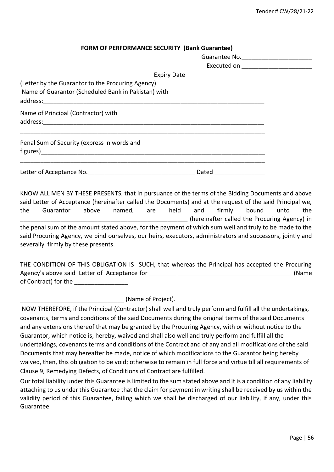| FORM OF PERFORMANCE SECURITY (Bank Guarantee) |  |
|-----------------------------------------------|--|
|                                               |  |

|                                                                                                          |       | Executed on _________________________ |
|----------------------------------------------------------------------------------------------------------|-------|---------------------------------------|
| <b>Expiry Date</b>                                                                                       |       |                                       |
| (Letter by the Guarantor to the Procuring Agency)<br>Name of Guarantor (Scheduled Bank in Pakistan) with |       |                                       |
| Name of Principal (Contractor) with                                                                      |       |                                       |
| Penal Sum of Security (express in words and                                                              |       |                                       |
|                                                                                                          | Dated |                                       |

KNOW ALL MEN BY THESE PRESENTS, that in pursuance of the terms of the Bidding Documents and above said Letter of Acceptance (hereinafter called the Documents) and at the request of the said Principal we, the Guarantor above named, are held and firmly bound unto the (hereinafter called the Procuring Agency) in the penal sum of the amount stated above*,* for the payment of which sum well and truly to be made to the said Procuring Agency, we bind ourselves, our heirs, executors, administrators and successors, jointly and severally, firmly by these presents.

THE CONDITION OF THIS OBLIGATION IS SUCH, that whereas the Principal has accepted the Procuring Agency's above said Letter of Acceptance for **Example 20** and the same of the same of the same of the same of the same of the same of the same of the same of the same of the same of the same of the same of the same of the of Contract) for the

\_\_\_\_\_\_\_\_\_\_\_\_\_\_\_\_\_\_\_\_\_\_\_\_\_\_\_\_\_\_\_ (Name of Project).

NOW THEREFORE, if the Principal (Contractor) shall well and truly perform and fulfill all the undertakings, covenants, terms and conditions of the said Documents during the original terms of the said Documents and any extensions thereof that may be granted by the Procuring Agency, with or without notice to the Guarantor, which notice is, hereby, waived and shall also well and truly perform and fulfill all the undertakings, covenants terms and conditions of the Contract and of any and all modifications of the said Documents that may hereafter be made, notice of which modifications to the Guarantor being hereby waived, then, this obligation to be void; otherwise to remain in full force and virtue till all requirements of Clause 9, Remedying Defects, of Conditions of Contract are fulfilled.

Our total liability under this Guarantee is limited to the sum stated above and it is a condition of any liability attaching to us under this Guarantee that the claim for payment in writing shall be received by us within the validity period of this Guarantee, failing which we shall be discharged of our liability, if any, under this Guarantee.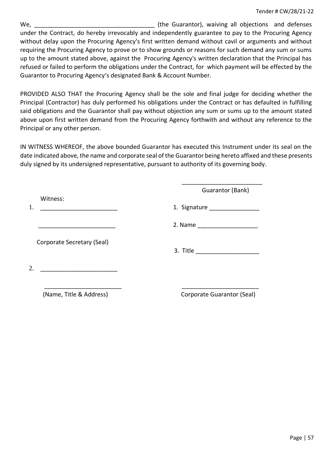We, well are controlled the Guarantor), waiving all objections and defenses under the Contract, do hereby irrevocably and independently guarantee to pay to the Procuring Agency without delay upon the Procuring Agency's first written demand without cavil or arguments and without requiring the Procuring Agency to prove or to show grounds or reasons for such demand any sum or sums up to the amount stated above, against the Procuring Agency's written declaration that the Principal has refused or failed to perform the obligations under the Contract, forwhich payment will be effected by the Guarantor to Procuring Agency's designated Bank & Account Number.

PROVIDED ALSO THAT the Procuring Agency shall be the sole and final judge for deciding whether the Principal (Contractor) has duly performed his obligations under the Contract or has defaulted in fulfilling said obligations and the Guarantor shall pay without objection any sum or sums up to the amount stated above upon first written demand from the Procuring Agency forthwith and without any reference to the Principal or any other person.

IN WITNESS WHEREOF, the above bounded Guarantor has executed this Instrument under its seal on the date indicated above, the name and corporate seal of the Guarantor being hereto affixed and these presents duly signed by its undersigned representative, pursuant to authority of its governing body.

|                            | Guarantor (Bank)                                                                                                |
|----------------------------|-----------------------------------------------------------------------------------------------------------------|
| Witness:                   | 1. Signature and the state of the state of the state of the state of the state of the state of the state of the |
|                            |                                                                                                                 |
| Corporate Secretary (Seal) |                                                                                                                 |
| 2.                         |                                                                                                                 |
| (Name, Title & Address)    | Corporate Guarantor (Seal)                                                                                      |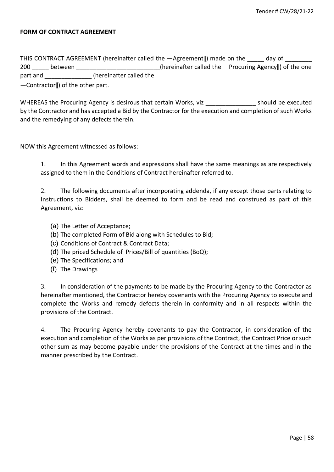#### **FORM OF CONTRACT AGREEMENT**

THIS CONTRACT AGREEMENT (hereinafter called the  $-A$ greement||) made on the day of 200 between **between between between between between between between between between between between between between between between between between between between between between** part and **the contract in the called the** 

―Contractor‖) of the other part.

WHEREAS the Procuring Agency is desirous that certain Works, viz executed should be executed by the Contractor and has accepted a Bid by the Contractor for the execution and completion of such Works and the remedying of any defects therein.

NOW this Agreement witnessed as follows:

1. In this Agreement words and expressions shall have the same meanings as are respectively assigned to them in the Conditions of Contract hereinafter referred to.

2. The following documents after incorporating addenda, if any except those parts relating to Instructions to Bidders, shall be deemed to form and be read and construed as part of this Agreement, viz:

- (a) The Letter of Acceptance;
- (b) The completed Form of Bid along with Schedules to Bid;
- (c) Conditions of Contract & Contract Data;
- (d) The priced Schedule of Prices/Bill of quantities (BoQ);
- (e) The Specifications; and
- (f) The Drawings

3. In consideration of the payments to be made by the Procuring Agency to the Contractor as hereinafter mentioned, the Contractor hereby covenants with the Procuring Agency to execute and complete the Works and remedy defects therein in conformity and in all respects within the provisions of the Contract.

4. The Procuring Agency hereby covenants to pay the Contractor, in consideration of the execution and completion of the Works as per provisions of the Contract, the Contract Price or such other sum as may become payable under the provisions of the Contract at the times and in the manner prescribed by the Contract.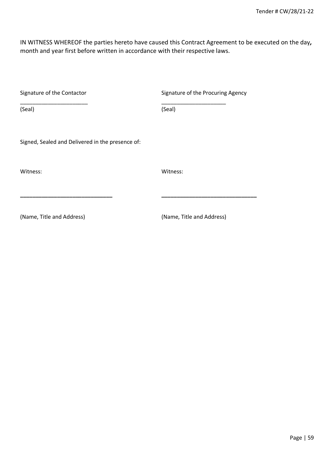IN WITNESS WHEREOF the parties hereto have caused this Contract Agreement to be executed on the day*,*  month and year first before written in accordance with their respective laws.

| Signature of the Contactor                       | Signature of the Procuring Agency |
|--------------------------------------------------|-----------------------------------|
| (Seal)                                           | (Seal)                            |
| Signed, Sealed and Delivered in the presence of: |                                   |
| Witness:                                         | Witness:                          |
|                                                  |                                   |
| (Name, Title and Address)                        | (Name, Title and Address)         |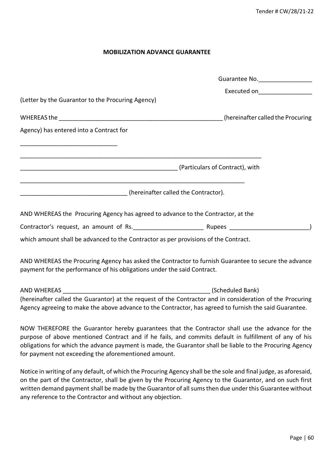#### **MOBILIZATION ADVANCE GUARANTEE**

|                                                                                                                                                                                 | Guarantee No.                   |
|---------------------------------------------------------------------------------------------------------------------------------------------------------------------------------|---------------------------------|
|                                                                                                                                                                                 | Executed on____________________ |
| (Letter by the Guarantor to the Procuring Agency)                                                                                                                               |                                 |
|                                                                                                                                                                                 |                                 |
| Agency) has entered into a Contract for                                                                                                                                         |                                 |
|                                                                                                                                                                                 |                                 |
|                                                                                                                                                                                 |                                 |
|                                                                                                                                                                                 |                                 |
|                                                                                                                                                                                 |                                 |
| [hereinafter called the Contractor]. (Annumental contractor).                                                                                                                   |                                 |
| AND WHEREAS the Procuring Agency has agreed to advance to the Contractor, at the                                                                                                |                                 |
|                                                                                                                                                                                 |                                 |
| which amount shall be advanced to the Contractor as per provisions of the Contract.                                                                                             |                                 |
| AND WHEREAS the Procuring Agency has asked the Contractor to furnish Guarantee to secure the advance<br>payment for the performance of his obligations under the said Contract. |                                 |
|                                                                                                                                                                                 |                                 |
| (hereinafter called the Guarantor) at the request of the Contractor and in consideration of the Procuring                                                                       |                                 |
| Agency agreeing to make the above advance to the Contractor, has agreed to furnish the said Guarantee.                                                                          |                                 |
|                                                                                                                                                                                 |                                 |

NOW THEREFORE the Guarantor hereby guarantees that the Contractor shall use the advance for the purpose of above mentioned Contract and if he fails, and commits default in fulfillment of any of his obligations for which the advance payment is made, the Guarantor shall be liable to the Procuring Agency for payment not exceeding the aforementioned amount.

Notice in writing of any default, of which the Procuring Agency shall be the sole and final judge, as aforesaid, on the part of the Contractor, shall be given by the Procuring Agency to the Guarantor, and on such first written demand payment shall be made by the Guarantor of all sums then due under this Guarantee without any reference to the Contractor and without any objection.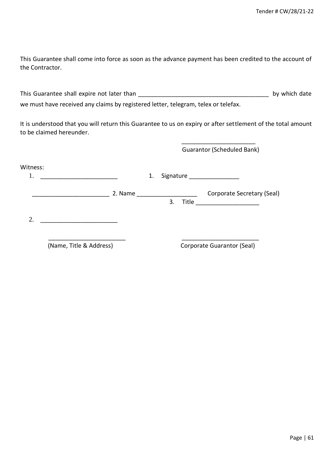This Guarantee shall come into force as soon as the advance payment has been credited to the account of the Contractor.

This Guarantee shall expire not later than **the set of the set of the set of the set of the set of the set of the set of the set of the set of the set of the set of the set of the set of the set of the set of the set of th** we must have received any claims by registered letter, telegram, telex or telefax.

It is understood that you will return this Guarantee to us on expiry or after settlement of the total amount to be claimed hereunder.

|                |                         |         |    |    | <b>Guarantor (Scheduled Bank)</b>                      |
|----------------|-------------------------|---------|----|----|--------------------------------------------------------|
| Witness:<br>1. |                         |         | 1. |    | Signature _________________                            |
|                |                         | 2. Name |    | 3. | Corporate Secretary (Seal)<br>Title __________________ |
| 2.             |                         |         |    |    |                                                        |
|                | (Name, Title & Address) |         |    |    | Corporate Guarantor (Seal)                             |

 $\overline{\phantom{a}}$  , and the contract of the contract of the contract of the contract of the contract of the contract of the contract of the contract of the contract of the contract of the contract of the contract of the contrac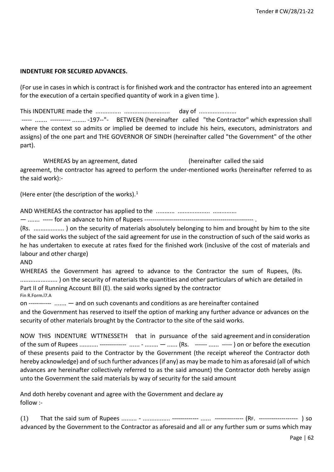#### **INDENTURE FOR SECURED ADVANCES.**

(For use in cases in which is contract is for finished work and the contractor has entered into an agreement for the execution of a certain specified quantity of work in a given time ).

This INDENTURE made the ............... ........................... day of ...................... ----- ....... ---------- ........ -197--"- BETWEEN (hereinafter called "the Contractor" which expression shall where the context so admits or implied be deemed to include his heirs, executors, administrators and assigns) of the one part and THE GOVERNOR OF SINDH (hereinafter called "the Government" of the other part).

WHEREAS by an agreement, dated (hereinafter called the said agreement, the contractor has agreed to perform the under-mentioned works (hereinafter referred to as the said work):-

(Here enter (the description of the works). $<sup>1</sup>$ </sup>

AND WHEREAS the contractor has applied to the ........... ................... ..............

— ....... ----- for an advance to him of Rupees ----------------------------------------------------- .

(Rs. .................. ) on the security of materials absolutely belonging to him and brought by him to the site of the said works the subject of the said agreement for use in the construction of such of the said works as he has undertaken to execute at rates fixed for the finished work (inclusive of the cost of materials and labour and other charge)

#### AND

WHEREAS the Government has agreed to advance to the Contractor the sum of Rupees, (Rs. ...................... ) on the security of materials the quantities and other particulars of which are detailed in Part II of Running Account Bill (E). the said works signed by the contractor Fin R.Form.l7.A

on ----------- ....... — and on such covenants and conditions as are hereinafter contained

and the Government has reserved to itself the option of marking any further advance or advances on the security of other materials brought by the Contractor to the site of the said works.

NOW THIS INDENTURE WTTNESSETH that in pursuance of the said agreement and in consideration of the sum of Rupees ........... ------------- ...... - ........ — ...... (Rs. ------ ...... ----- ) on or before the execution of these presents paid to the Contractor by the Government (the receipt whereof the Contractor doth hereby acknowledge) and of such further advances (if any) as may be made to him as aforesaid (all of which advances are hereinafter collectively referred to as the said amount) the Contractor doth hereby assign unto the Government the said materials by way of security for the said amount

And doth hereby covenant and agree with the Government and declare ay follow :-

(1) That the said sum of Rupees ......... - ................ ------------- ...... -------------- (RF. ------------------- ) so advanced by the Government to the Contractor as aforesaid and all or any further sum or sums which may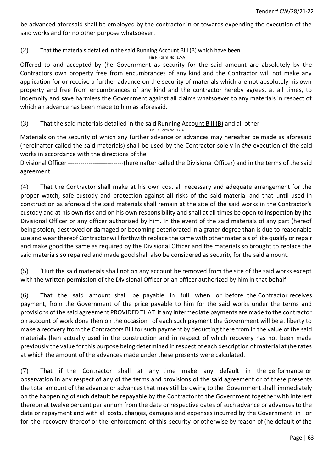be advanced aforesaid shall be employed by the contractor in or towards expending the execution of the said works and for no other purpose whatsoever.

(2) That the materials detailed in the said Running Account Bill (B) which have been

Fin R Form No. 17-A

Offered to and accepted by (he Government as security for the said amount are absolutely by the Contractors own property free from encumbrances of any kind and the Contractor will not make any application for or receive a further advance on the security of materials which are not absolutely his own property and free from encumbrances of any kind and the contractor hereby agrees, at all times, to indemnify and save harmless the Government against all claims whatsoever to any materials in respect of which an advance has been made to him as aforesaid.

(3) That the said materials detailed in the said Running Account Bill (B) and all other

Fin. R. Form No. 17-A

Materials on the security of which any further advance or advances may hereafter be made as aforesaid (hereinafter called the said materials) shall be used by the Contractor solely in *the* execution of the said works in accordance with the directions of the

Divisional Officer ---------------------------(hereinafter called the Divisional Officer) and in the terms of the said agreement.

(4) That the Contractor shall make at his own cost all necessary and adequate arrangement for the proper watch, safe custody and protection against all risks of the said material and that until used in construction as aforesaid the said materials shall remain at the site of the said works in the Contractor's custody and at his own risk and on his own responsibility and shall at all times be open to inspection by (he Divisional Officer or any officer authorized by him. In the event of the said materials of any part (hereof being stolen, destroyed or damaged or becoming deteriorated in a grater degree than is due to reasonable use and wear thereof Contractor will forthwith replace the same with other materials of like qualify or repair and make good the same as required by the Divisional Officer and the materials so brought to replace the said materials so repaired and made good shall also be considered as security for the said amount.

(5) 'Hurt the said materials shall not on any account be removed from the site of the said works except with the written permission of the Divisional Officer or an officer authorized by him in that behalf

(6) That the said amount shall be payable in full when or before the Contractor receives payment, from the Government of the price payable to him for the said works under the terms and provisions of the said agreement PROVIDED THAT if any intermediate payments are made to the contractor on account of work done then on the occasion of each such payment the Government will be at liberty to make a recovery from the Contractors Bill for such payment by deducting there from in the value of the said materials (hen actually used in the construction and in respect of which recovery has not been made previously the value for this purpose being determined in respect of each description of material at (he rates at which the amount of the advances made under these presents were calculated.

(7) That if the Contractor shall at any time make any default in the performance or observation in any respect of any of the terms and provisions of the said agreement or of these presents the total amount of the advance or advances that may still be owing to the Government shall immediately on the happening of such default be repayable by the Contractor to the Government together with interest thereon at twelve percent per annum from the date or respective dates of such advance or advances to the date or repayment and with all costs, charges, damages and expenses incurred by the Government in or for the recovery thereof or the enforcement of this security or otherwise by reason of (he default of the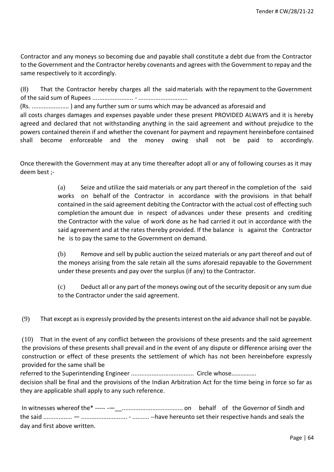Contractor and any moneys so becoming due and payable shall constitute a debt due from the Contractor to the Government and the Contractor hereby covenants and agrees with the Government to repay and the same respectively to it accordingly.

(8) That the Contractor hereby charges all the said materials with the repayment to the Government of the said sum of Rupees ........................ - .............................

(Rs. ...................... ) and any further sum or sums which may be advanced as aforesaid and

all costs charges damages and expenses payable under these present PROVIDED ALWAYS and it is hereby agreed and declared that not withstanding anything in the said agreement and without prejudice to the powers contained therein if and whether the covenant for payment and repayment hereinbefore contained shall become enforceable and the money owing shall not be paid to accordingly.

Once therewith the Government may at any time thereafter adopt all or any of following courses as it may deem best ;-

> (a) Seize and utilize the said materials or any part thereof in the completion of the said works on behalf of the Contractor in accordance with the provisions in that behalf contained in the said agreement debiting the Contractor with the actual cost of effecting such completion the amount due in respect of advances under these presents and crediting the Contractor with the value of work done as he had carried it out in accordance with the said agreement and at the rates thereby provided. If the balance is against the Contractor he is to pay the same to the Government on demand.

> (b) Remove and sell by public auction the seized materials or any part thereof and out of the moneys arising from the sale retain all the sums aforesaid repayable to the Government under these presents and pay over the surplus (if any) to the Contractor.

> (c) Deduct all or any part of the moneys owing out of the security deposit or any sum due to the Contractor under the said agreement.

(9) That except as is expressly provided by the presents interest on the aid advance shall not be payable.

(10) That in the event of any conflict between the provisions of these presents and the said agreement the provisions of these presents shall prevail and in the event of any dispute or difference arising over the construction or effect of these presents the settlement of which has not been hereinbefore expressly provided for the same shall be

referred to the Superintending Engineer ..................................... Circle whose…………….

decision shall be final and the provisions of the Indian Arbitration Act for the time being in force so far as they are applicable shall apply to any such reference.

In witnesses whereof the\* ----- -—\_\_.................................... on behalf of the Governor of Sindh and the said ................. — ........................... - .......... --have hereunto set their respective hands and seals the day and first above written.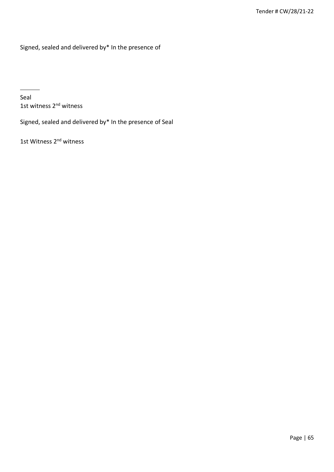Signed, sealed and delivered by\* In the presence of

Seal 1st witness 2<sup>nd</sup> witness

 $\overline{\phantom{a}}$ 

Signed, sealed and delivered by\* In the presence of Seal

1st Witness 2<sup>nd</sup> witness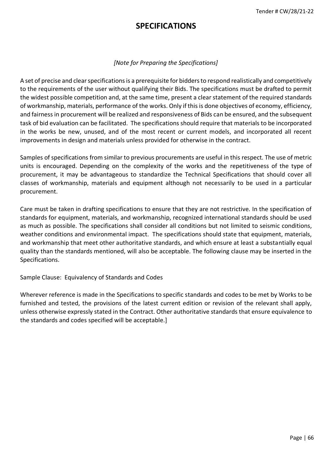# **SPECIFICATIONS**

# *[Note for Preparing the Specifications]*

A set of precise and clear specifications is a prerequisite for bidders to respond realistically and competitively to the requirements of the user without qualifying their Bids. The specifications must be drafted to permit the widest possible competition and, at the same time, present a clear statement of the required standards of workmanship, materials, performance of the works. Only if this is done objectives of economy, efficiency, and fairness in procurement will be realized and responsiveness of Bids can be ensured, and the subsequent task of bid evaluation can be facilitated. The specifications should require that materials to be incorporated in the works be new, unused, and of the most recent or current models, and incorporated all recent improvements in design and materials unless provided for otherwise in the contract.

Samples of specifications from similar to previous procurements are useful in this respect. The use of metric units is encouraged. Depending on the complexity of the works and the repetitiveness of the type of procurement, it may be advantageous to standardize the Technical Specifications that should cover all classes of workmanship, materials and equipment although not necessarily to be used in a particular procurement.

Care must be taken in drafting specifications to ensure that they are not restrictive. In the specification of standards for equipment, materials, and workmanship, recognized international standards should be used as much as possible. The specifications shall consider all conditions but not limited to seismic conditions, weather conditions and environmental impact. The specifications should state that equipment, materials, and workmanship that meet other authoritative standards, and which ensure at least a substantially equal quality than the standards mentioned, will also be acceptable. The following clause may be inserted in the Specifications.

Sample Clause: Equivalency of Standards and Codes

Wherever reference is made in the Specifications to specific standards and codes to be met by Works to be furnished and tested, the provisions of the latest current edition or revision of the relevant shall apply, unless otherwise expressly stated in the Contract. Other authoritative standards that ensure equivalence to the standards and codes specified will be acceptable.]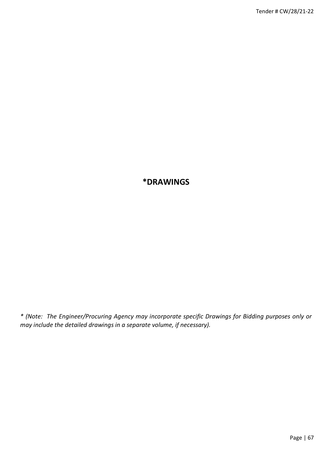# **\*DRAWINGS**

*\* (Note: The Engineer/Procuring Agency may incorporate specific Drawings for Bidding purposes only or may include the detailed drawings in a separate volume, if necessary).*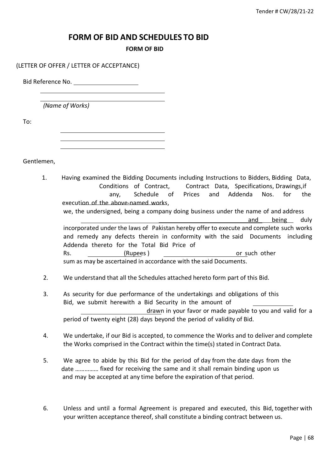# **FORM OF BID AND SCHEDULES TO BID**

#### **FORM OF BID**

#### (LETTER OF OFFER / LETTER OF ACCEPTANCE)

Bid Reference No.

*(Name of Works)*

To:

Gentlemen,

- 1. Having examined the Bidding Documents including Instructions to Bidders, Bidding Data, Conditions of Contract, Contract Data, Specifications, Drawings,if any, Schedule of Prices and Addenda Nos. for the execution of the above-named works, we, the undersigned, being a company doing business under the name of and address and being duly incorporated under the laws of Pakistan hereby offer to execute and complete such works and remedy any defects therein in conformity with the said Documents including Addenda thereto for the Total Bid Price of Rs. (Rupees ) and the control of such other in the control of such other in the control of such other in the control of such other in the control of such other in the control of such other in the control of such an in the sum as may be ascertained in accordance with the said Documents.
- 2. We understand that all the Schedules attached hereto form part of this Bid.
- 3. As security for due performance of the undertakings and obligations of this Bid, we submit herewith a Bid Security in the amount of drawn in your favor or made payable to you and valid for a period of twenty eight (28) days beyond the period of validity of Bid.
- 4. We undertake, if our Bid is accepted, to commence the Works and to deliver and complete the Works comprised in the Contract within the time(s) stated in Contract Data.
- 5. We agree to abide by this Bid for the period of day from the date days from the date …………… fixed for receiving the same and it shall remain binding upon us and may be accepted at any time before the expiration of that period.
- 6. Unless and until a formal Agreement is prepared and executed, this Bid, together with your written acceptance thereof, shall constitute a binding contract between us.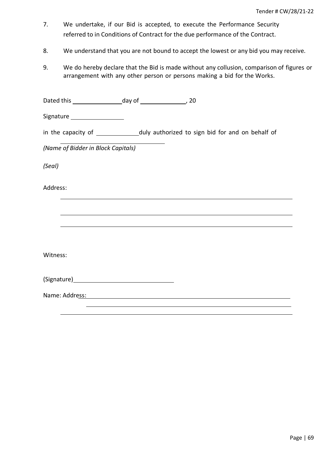- 7. We undertake, if our Bid is accepted, to execute the Performance Security referred to in Conditions of Contract for the due performance of the Contract.
- 8. We understand that you are not bound to accept the lowest or any bid you may receive.
- 9. We do hereby declare that the Bid is made without any collusion, comparison of figures or arrangement with any other person or persons making a bid for the Works.

Dated this day of , 20

Signature \_\_\_\_\_\_\_\_\_\_\_\_\_\_\_\_\_\_\_\_

| in the capacity of | duly authorized to sign bid for and on behalf of |  |  |  |  |  |  |
|--------------------|--------------------------------------------------|--|--|--|--|--|--|
|--------------------|--------------------------------------------------|--|--|--|--|--|--|

*(Name of Bidder in Block Capitals)*

*(Seal)*

Address:

Witness:

| (Signature) |
|-------------|
|-------------|

Name: Address: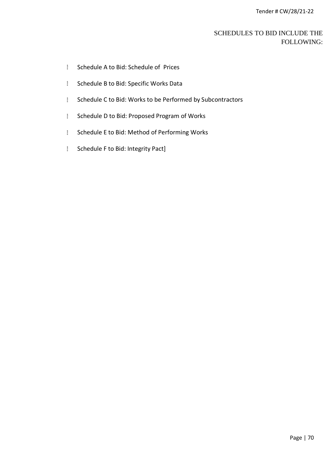# SCHEDULES TO BID INCLUDE THE FOLLOWING:

- Schedule A to Bid: Schedule of Prices
- **Schedule B to Bid: Specific Works Data**
- **Schedule C to Bid: Works to be Performed by Subcontractors**
- **Schedule D to Bid: Proposed Program of Works**
- I Schedule E to Bid: Method of Performing Works
- **Schedule F to Bid: Integrity Pact]**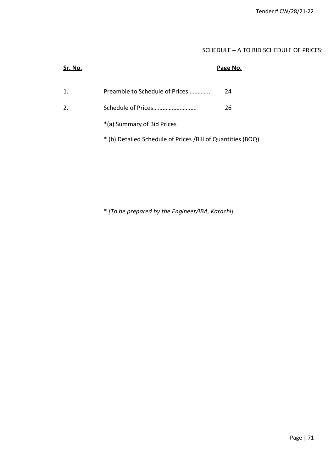# SCHEDULE – A TO BID SCHEDULE OF PRICES:

| Sr. No.        |                                                             | Page No. |
|----------------|-------------------------------------------------------------|----------|
| 1.             | Preamble to Schedule of Prices                              | 24       |
| 2 <sub>1</sub> | Schedule of Prices                                          | 26       |
|                | *(a) Summary of Bid Prices                                  |          |
|                | * (b) Detailed Schedule of Prices /Bill of Quantities (BOQ) |          |
|                |                                                             |          |

\* *[To be prepared by the Engineer/IBA, Karachi]*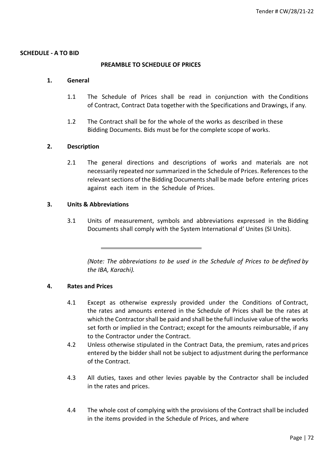#### **SCHEDULE - A TO BID**

#### **PREAMBLE TO SCHEDULE OF PRICES**

#### **1. General**

- 1.1 The Schedule of Prices shall be read in conjunction with the Conditions of Contract, Contract Data together with the Specifications and Drawings, if any.
- 1.2 The Contract shall be for the whole of the works as described in these Bidding Documents. Bids must be for the complete scope of works.

#### **2. Description**

2.1 The general directions and descriptions of works and materials are not necessarily repeated nor summarized in the Schedule of Prices. References to the relevant sections of the Bidding Documents shall be made before entering prices against each item in the Schedule of Prices.

#### **3. Units & Abbreviations**

3.1 Units of measurement, symbols and abbreviations expressed in the Bidding Documents shall comply with the System International d' Unites (SI Units).

*(Note: The abbreviations to be used in the Schedule of Prices to be defined by the IBA, Karachi).*

#### **4. Rates and Prices**

- 4.1 Except as otherwise expressly provided under the Conditions of Contract, the rates and amounts entered in the Schedule of Prices shall be the rates at which the Contractor shall be paid and shall be the full inclusive value of the works set forth or implied in the Contract; except for the amounts reimbursable, if any to the Contractor under the Contract.
- 4.2 Unless otherwise stipulated in the Contract Data, the premium, rates and prices entered by the bidder shall not be subject to adjustment during the performance of the Contract.
- 4.3 All duties, taxes and other levies payable by the Contractor shall be included in the rates and prices.
- 4.4 The whole cost of complying with the provisions of the Contract shall be included in the items provided in the Schedule of Prices, and where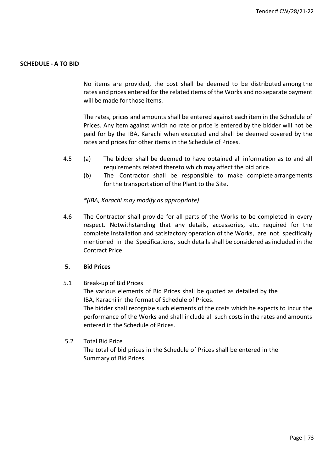# **SCHEDULE - A TO BID**

No items are provided, the cost shall be deemed to be distributed among the rates and prices entered for the related items of the Works and no separate payment will be made for those items.

The rates, prices and amounts shall be entered against each item in the Schedule of Prices. Any item against which no rate or price is entered by the bidder will not be paid for by the IBA, Karachi when executed and shall be deemed covered by the rates and prices for other items in the Schedule of Prices.

- 4.5 (a) The bidder shall be deemed to have obtained all information as to and all requirements related thereto which may affect the bid price.
	- (b) The Contractor shall be responsible to make complete arrangements for the transportation of the Plant to the Site.

#### *\*(IBA, Karachi may modify as appropriate)*

4.6 The Contractor shall provide for all parts of the Works to be completed in every respect. Notwithstanding that any details, accessories, etc. required for the complete installation and satisfactory operation of the Works, are not specifically mentioned in the Specifications, such details shall be considered as included in the Contract Price.

### **5. Bid Prices**

5.1 Break-up of Bid Prices

The various elements of Bid Prices shall be quoted as detailed by the IBA, Karachi in the format of Schedule of Prices.

The bidder shall recognize such elements of the costs which he expects to incur the performance of the Works and shall include all such costs in the rates and amounts entered in the Schedule of Prices.

#### 5.2 Total Bid Price

The total of bid prices in the Schedule of Prices shall be entered in the Summary of Bid Prices.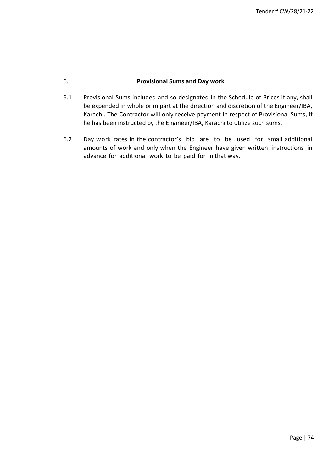## 6. **Provisional Sums and Day work**

- 6.1 Provisional Sums included and so designated in the Schedule of Prices if any, shall be expended in whole or in part at the direction and discretion of the Engineer/IBA, Karachi. The Contractor will only receive payment in respect of Provisional Sums, if he has been instructed by the Engineer/IBA, Karachi to utilize such sums.
- 6.2 Day work rates in the contractor's bid are to be used for small additional amounts of work and only when the Engineer have given written instructions in advance for additional work to be paid for in that way.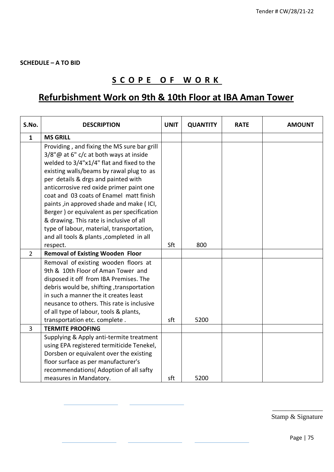# **S C O P E O F W O R K**

# **Refurbishment Work on 9th & 10th Floor at IBA Aman Tower**

| S.No.          | <b>DESCRIPTION</b>                          | <b>UNIT</b> | <b>QUANTITY</b> | <b>RATE</b> | <b>AMOUNT</b> |
|----------------|---------------------------------------------|-------------|-----------------|-------------|---------------|
| $\mathbf{1}$   | <b>MS GRILL</b>                             |             |                 |             |               |
|                | Providing, and fixing the MS sure bar grill |             |                 |             |               |
|                | 3/8"@ at 6" c/c at both ways at inside      |             |                 |             |               |
|                | welded to 3/4"x1/4" flat and fixed to the   |             |                 |             |               |
|                | existing walls/beams by rawal plug to as    |             |                 |             |               |
|                | per details & drgs and painted with         |             |                 |             |               |
|                | anticorrosive red oxide primer paint one    |             |                 |             |               |
|                | coat and 03 coats of Enamel matt finish     |             |                 |             |               |
|                | paints, in approved shade and make (ICI,    |             |                 |             |               |
|                | Berger) or equivalent as per specification  |             |                 |             |               |
|                | & drawing. This rate is inclusive of all    |             |                 |             |               |
|                | type of labour, material, transportation,   |             |                 |             |               |
|                | and all tools & plants, completed in all    |             |                 |             |               |
|                | respect.                                    | Sft         | 800             |             |               |
| $\overline{2}$ | <b>Removal of Existing Wooden Floor</b>     |             |                 |             |               |
|                | Removal of existing wooden floors at        |             |                 |             |               |
|                | 9th & 10th Floor of Aman Tower and          |             |                 |             |               |
|                | disposed it off from IBA Premises. The      |             |                 |             |               |
|                | debris would be, shifting, transportation   |             |                 |             |               |
|                | in such a manner the it creates least       |             |                 |             |               |
|                | neusance to others. This rate is inclusive  |             |                 |             |               |
|                | of all type of labour, tools & plants,      |             |                 |             |               |
|                | transportation etc. complete.               | sft         | 5200            |             |               |
| 3              | <b>TERMITE PROOFING</b>                     |             |                 |             |               |
|                | Supplying & Apply anti-termite treatment    |             |                 |             |               |
|                | using EPA registered termiticide Tenekel,   |             |                 |             |               |
|                | Dorsben or equivalent over the existing     |             |                 |             |               |
|                | floor surface as per manufacturer's         |             |                 |             |               |
|                | recommendations(Adoption of all safty       |             |                 |             |               |
|                | measures in Mandatory.                      | sft         | 5200            |             |               |

\_\_\_\_\_\_\_\_\_\_\_\_\_\_\_ Stamp & Signature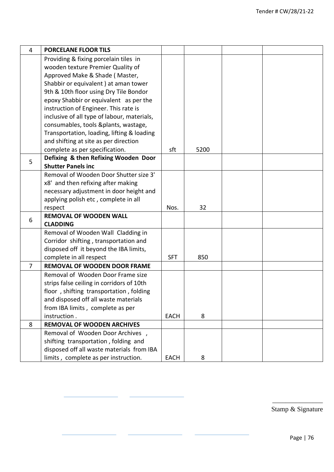| 4              | <b>PORCELANE FLOOR TILS</b>                 |             |      |  |
|----------------|---------------------------------------------|-------------|------|--|
|                | Providing & fixing porcelain tiles in       |             |      |  |
|                | wooden texture Premier Quality of           |             |      |  |
|                | Approved Make & Shade (Master,              |             |      |  |
|                | Shabbir or equivalent ) at aman tower       |             |      |  |
|                | 9th & 10th floor using Dry Tile Bondor      |             |      |  |
|                | epoxy Shabbir or equivalent as per the      |             |      |  |
|                | instruction of Engineer. This rate is       |             |      |  |
|                | inclusive of all type of labour, materials, |             |      |  |
|                | consumables, tools &plants, wastage,        |             |      |  |
|                | Transportation, loading, lifting & loading  |             |      |  |
|                | and shifting at site as per direction       |             |      |  |
|                | complete as per specification.              | sft         | 5200 |  |
| 5              | Defixing & then Refixing Wooden Door        |             |      |  |
|                | <b>Shutter Panels inc</b>                   |             |      |  |
|                | Removal of Wooden Door Shutter size 3'      |             |      |  |
|                | x8' and then refixing after making          |             |      |  |
|                | necessary adjustment in door height and     |             |      |  |
|                | applying polish etc, complete in all        |             |      |  |
|                | respect                                     | Nos.        | 32   |  |
| 6              | <b>REMOVAL OF WOODEN WALL</b>               |             |      |  |
|                | <b>CLADDING</b>                             |             |      |  |
|                | Removal of Wooden Wall Cladding in          |             |      |  |
|                | Corridor shifting, transportation and       |             |      |  |
|                | disposed off it beyond the IBA limits,      |             |      |  |
|                | complete in all respect                     | <b>SFT</b>  | 850  |  |
| $\overline{7}$ | <b>REMOVAL OF WOODEN DOOR FRAME</b>         |             |      |  |
|                | Removal of Wooden Door Frame size           |             |      |  |
|                | strips false ceiling in corridors of 10th   |             |      |  |
|                | floor, shifting transportation, folding     |             |      |  |
|                | and disposed off all waste materials        |             |      |  |
|                | from IBA limits, complete as per            |             |      |  |
|                | instruction.                                | <b>EACH</b> | 8    |  |
| 8              | <b>REMOVAL OF WOODEN ARCHIVES</b>           |             |      |  |
|                | Removal of Wooden Door Archives,            |             |      |  |
|                | shifting transportation, folding and        |             |      |  |
|                | disposed off all waste materials from IBA   |             |      |  |
|                | limits, complete as per instruction.        | <b>EACH</b> | 8    |  |

\_\_\_\_\_\_\_\_\_\_\_\_\_\_\_ Stamp & Signature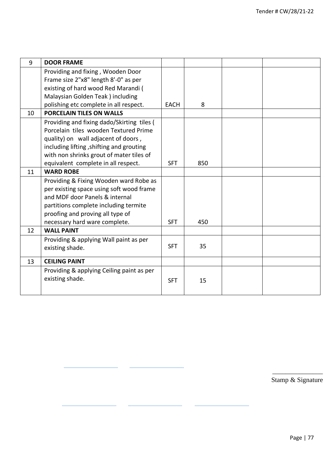| 9  | <b>DOOR FRAME</b>                          |             |     |  |
|----|--------------------------------------------|-------------|-----|--|
|    | Providing and fixing, Wooden Door          |             |     |  |
|    | Frame size 2"x8" length 8'-0" as per       |             |     |  |
|    | existing of hard wood Red Marandi (        |             |     |  |
|    | Malaysian Golden Teak ) including          |             |     |  |
|    | polishing etc complete in all respect.     | <b>EACH</b> | 8   |  |
| 10 | <b>PORCELAIN TILES ON WALLS</b>            |             |     |  |
|    | Providing and fixing dado/Skirting tiles ( |             |     |  |
|    | Porcelain tiles wooden Textured Prime      |             |     |  |
|    | quality) on wall adjacent of doors,        |             |     |  |
|    | including lifting, shifting and grouting   |             |     |  |
|    | with non shrinks grout of mater tiles of   |             |     |  |
|    | equivalent complete in all respect.        | <b>SFT</b>  | 850 |  |
| 11 | <b>WARD ROBE</b>                           |             |     |  |
|    | Providing & Fixing Wooden ward Robe as     |             |     |  |
|    | per existing space using soft wood frame   |             |     |  |
|    | and MDF door Panels & internal             |             |     |  |
|    | partitions complete including termite      |             |     |  |
|    | proofing and proving all type of           |             |     |  |
|    | necessary hard ware complete.              | <b>SFT</b>  | 450 |  |
| 12 | <b>WALL PAINT</b>                          |             |     |  |
|    | Providing & applying Wall paint as per     |             |     |  |
|    | existing shade.                            | <b>SFT</b>  | 35  |  |
| 13 | <b>CEILING PAINT</b>                       |             |     |  |
|    | Providing & applying Ceiling paint as per  |             |     |  |
|    | existing shade.                            | <b>SFT</b>  | 15  |  |
|    |                                            |             |     |  |
|    |                                            |             |     |  |

\_\_\_\_\_\_\_\_\_\_\_\_\_\_\_ Stamp & Signature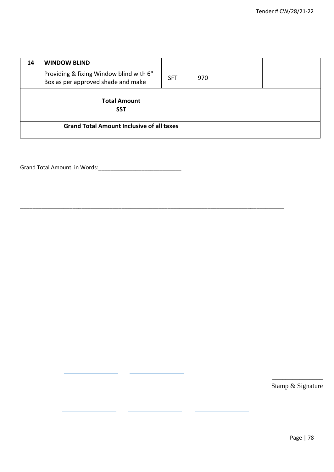| 14                                               | <b>WINDOW BLIND</b>                                                                                |  |  |  |
|--------------------------------------------------|----------------------------------------------------------------------------------------------------|--|--|--|
|                                                  | Providing & fixing Window blind with 6"<br><b>SFT</b><br>970<br>Box as per approved shade and make |  |  |  |
|                                                  | <b>Total Amount</b>                                                                                |  |  |  |
|                                                  | <b>SST</b>                                                                                         |  |  |  |
| <b>Grand Total Amount Inclusive of all taxes</b> |                                                                                                    |  |  |  |

\_\_\_\_\_\_\_\_\_\_\_\_\_\_\_\_\_\_\_\_\_\_\_\_\_\_\_\_\_\_\_\_\_\_\_\_\_\_\_\_\_\_\_\_\_\_\_\_\_\_\_\_\_\_\_\_\_\_\_\_\_\_\_\_\_\_\_\_\_\_\_\_\_\_\_\_\_\_\_\_\_\_\_\_\_\_

Grand Total Amount in Words:\_\_\_\_\_\_\_\_\_\_\_\_\_\_\_\_\_\_\_\_\_\_\_\_\_\_\_

\_\_\_\_\_\_\_\_\_\_\_\_\_\_\_ Stamp & Signature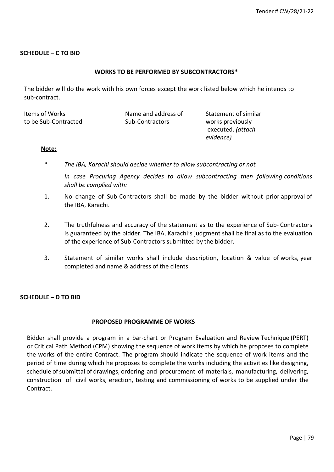# **SCHEDULE – C TO BID**

### **WORKS TO BE PERFORMED BY SUBCONTRACTORS\***

The bidder will do the work with his own forces except the work listed below which he intends to sub-contract.

| Items of Works       | Name and address of | Statement of similar |
|----------------------|---------------------|----------------------|
| to be Sub-Contracted | Sub-Contractors     | works previously     |
|                      |                     | executed. (attach    |
|                      |                     | evidence)            |

#### **Note:**

- \* *The IBA, Karachi should decide whether to allow subcontracting or not.*
	- *In case Procuring Agency decides to allow subcontracting then following conditions shall be complied with:*
- 1. No change of Sub-Contractors shall be made by the bidder without prior approval of the IBA, Karachi.
- 2. The truthfulness and accuracy of the statement as to the experience of Sub- Contractors is guaranteed by the bidder. The IBA, Karachi's judgment shall be final as to the evaluation of the experience of Sub-Contractors submitted by the bidder.
- 3. Statement of similar works shall include description, location & value of works, year completed and name & address of the clients.

## **SCHEDULE – D TO BID**

#### **PROPOSED PROGRAMME OF WORKS**

Bidder shall provide a program in a bar-chart or Program Evaluation and Review Technique (PERT) or Critical Path Method (CPM) showing the sequence of work items by which he proposes to complete the works of the entire Contract. The program should indicate the sequence of work items and the period of time during which he proposes to complete the works including the activities like designing, schedule of submittal of drawings, ordering and procurement of materials, manufacturing, delivering, construction of civil works, erection, testing and commissioning of works to be supplied under the Contract.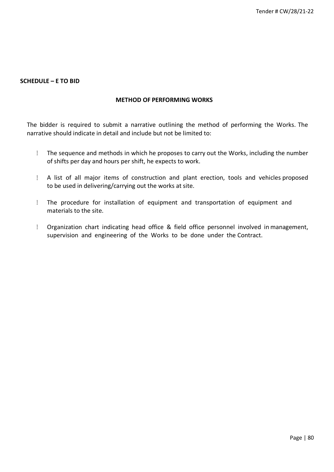## **SCHEDULE – E TO BID**

### **METHOD OF PERFORMING WORKS**

The bidder is required to submit a narrative outlining the method of performing the Works. The narrative should indicate in detail and include but not be limited to:

- $\mathbb{R}$ The sequence and methods in which he proposes to carry out the Works, including the number of shifts per day and hours per shift, he expects to work.
- A list of all major items of construction and plant erection, tools and vehicles proposed to be used in delivering/carrying out the works at site.
- $\overline{\phantom{a}}$ The procedure for installation of equipment and transportation of equipment and materials to the site.
- $\mathbb{R}^+$ Organization chart indicating head office & field office personnel involved in management, supervision and engineering of the Works to be done under the Contract.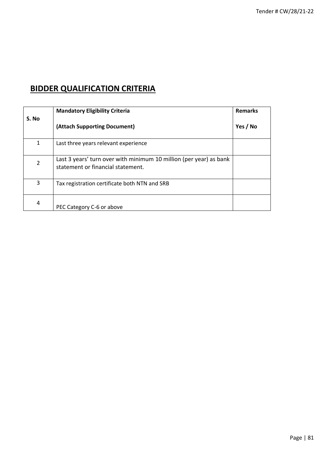# **BIDDER QUALIFICATION CRITERIA**

|                | <b>Mandatory Eligibility Criteria</b>                                                                   | <b>Remarks</b> |
|----------------|---------------------------------------------------------------------------------------------------------|----------------|
| S. No          | (Attach Supporting Document)                                                                            | Yes / No       |
| 1              | Last three years relevant experience                                                                    |                |
| $\overline{2}$ | Last 3 years' turn over with minimum 10 million (per year) as bank<br>statement or financial statement. |                |
| 3              | Tax registration certificate both NTN and SRB                                                           |                |
| 4              | PEC Category C-6 or above                                                                               |                |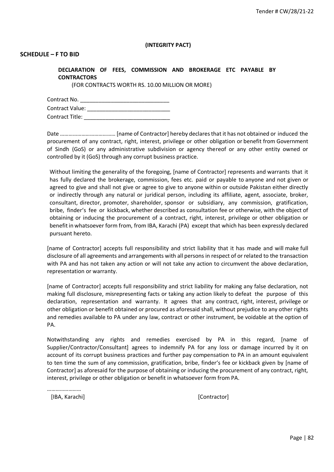#### **(INTEGRITY PACT)**

#### **SCHEDULE – F TO BID**

**DECLARATION OF FEES, COMMISSION AND BROKERAGE ETC PAYABLE BY CONTRACTORS**

(FOR CONTRACTS WORTH RS. 10.00 MILLION OR MORE)

| Contract No.    |  |
|-----------------|--|
| Contract Value: |  |
| Contract Title: |  |

Date ………………………………… [name of Contractor] hereby declaresthat it has not obtained or induced the procurement of any contract, right, interest, privilege or other obligation or benefit from Government of Sindh (GoS) or any administrative subdivision or agency thereof or any other entity owned or controlled by it (GoS) through any corrupt business practice.

Without limiting the generality of the foregoing, [name of Contractor] represents and warrants that it has fully declared the brokerage, commission, fees etc. paid or payable to anyone and not given or agreed to give and shall not give or agree to give to anyone within or outside Pakistan either directly or indirectly through any natural or juridical person, including its affiliate, agent, associate, broker, consultant, director, promoter, shareholder, sponsor or subsidiary, any commission, gratification, bribe, finder's fee or kickback, whether described as consultation fee or otherwise, with the object of obtaining or inducing the procurement of a contract, right, interest, privilege or other obligation or benefit in whatsoever form from, from IBA, Karachi (PA) except that which has been expressly declared pursuant hereto.

[name of Contractor] accepts full responsibility and strict liability that it has made and will make full disclosure of all agreements and arrangements with all persons in respect of or related to the transaction with PA and has not taken any action or will not take any action to circumvent the above declaration, representation or warranty.

[name of Contractor] accepts full responsibility and strict liability for making any false declaration, not making full disclosure, misrepresenting facts or taking any action likely to defeat the purpose of this declaration, representation and warranty. It agrees that any contract, right, interest, privilege or other obligation or benefit obtained or procured as aforesaid shall, without prejudice to any other rights and remedies available to PA under any law, contract or other instrument, be voidable at the option of PA.

Notwithstanding any rights and remedies exercised by PA in this regard, [name of Supplier/Contractor/Consultant] agrees to indemnify PA for any loss or damage incurred by it on account of its corrupt business practices and further pay compensation to PA in an amount equivalent to ten time the sum of any commission, gratification, bribe, finder's fee or kickback given by [name of Contractor] as aforesaid for the purpose of obtaining or inducing the procurement of any contract, right, interest, privilege or other obligation or benefit in whatsoever form from PA.

……………………

[IBA, Karachi] [Contractor]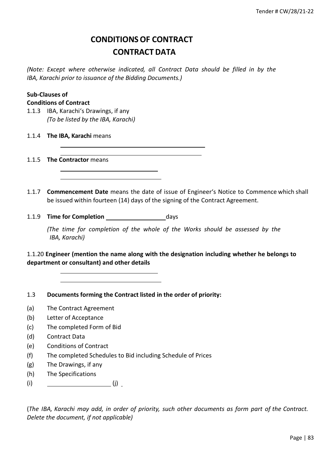# **CONDITIONSOF CONTRACT CONTRACT DATA**

*(Note: Except where otherwise indicated, all Contract Data should be filled in by the IBA, Karachi prior to issuance of the Bidding Documents.)*

# **Sub-Clauses of**

# **Conditions of Contract**

- 1.1.3 IBA, Karachi's Drawings, if any *(To be listed by the IBA, Karachi)*
- 1.1.4 **The IBA, Karachi** means

1.1.5 **The Contractor** means

- 1.1.7 **Commencement Date** means the date of issue of Engineer's Notice to Commence which shall be issued within fourteen (14) days of the signing of the Contract Agreement.
- 1.1.9 **Time for Completion** days

*(The time for completion of the whole of the Works should be assessed by the IBA, Karachi)*

1.1.20 **Engineer (mention the name along with the designation including whether he belongs to department or consultant) and other details**

1.3 **Documents forming the Contract listed in the order of priority:**

- (a) The Contract Agreement
- (b) Letter of Acceptance
- (c) The completed Form of Bid
- (d) Contract Data
- (e) Conditions of Contract
- (f) The completed Schedules to Bid including Schedule of Prices
- (g) The Drawings, if any
- (h) The Specifications
- (i)  $\qquad \qquad (j)$

(*The IBA, Karachi may add, in order of priority, such other documents as form part of the Contract. Delete the document, if not applicable)*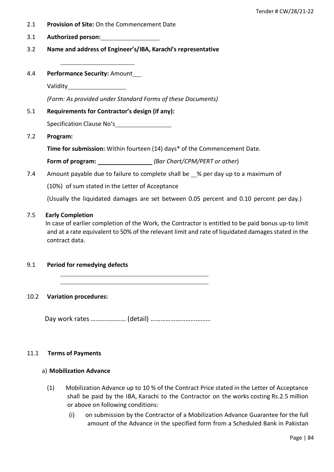- 2.1 **Provision of Site:** On the Commencement Date
- 3.1 **Authorized person:**
- 3.2 **Name and address of Engineer's/IBA, Karachi's representative**
- 4.4 **Performance Security:** Amount

Validity

*(Form: As provided under Standard Forms of these Documents)*

5.1 **Requirements for Contractor's design (if any):**

Specification Clause No's

7.2 **Program:**

**Time for submission:** Within fourteen (14) days\* of the Commencement Date.

**Form of program:** *(Bar Chart/CPM/PERT or other*)

7.4 Amount payable due to failure to complete shall be % per day up to a maximum of

(10%) of sum stated in the Letter of Acceptance

(Usually the liquidated damages are set between 0.05 percent and 0.10 percent per day.)

#### 7.5 **Early Completion**

In case of earlier completion of the Work, the Contractor is entitled to be paid bonus up-to limit and at a rate equivalent to 50% of the relevant limit and rate of liquidated damages stated in the contract data.

9.1 **Period for remedying defects**

#### 10.2 **Variation procedures:**

Day work rates ………………… (detail) ………………………………

#### 11.1 **Terms of Payments**

#### a) **Mobilization Advance**

- (1) Mobilization Advance up to 10 % of the Contract Price stated in the Letter of Acceptance shall be paid by the IBA, Karachi to the Contractor on the works costing Rs.2.5 million or above on following conditions:
	- (i) on submission by the Contractor of a Mobilization Advance Guarantee for the full amount of the Advance in the specified form from a Scheduled Bank in Pakistan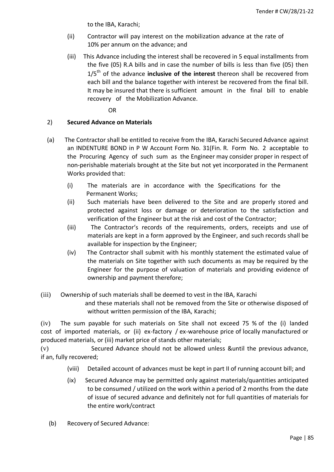to the IBA, Karachi;

- (ii) Contractor will pay interest on the mobilization advance at the rate of 10% per annum on the advance; and
- (iii) This Advance including the interest shall be recovered in 5 equal installments from the five (05) R.A bills and in case the number of bills is less than five (05) then 1/5 th of the advance **inclusive of the interest** thereon shall be recovered from each bill and the balance together with interest be recovered from the final bill. It may be insured that there is sufficient amount in the final bill to enable recovery of the Mobilization Advance.

OR

# 2) **Secured Advance on Materials**

- (a) The Contractor shall be entitled to receive from the IBA, Karachi Secured Advance against an INDENTURE BOND in P W Account Form No. 31(Fin. R. Form No. 2 acceptable to the Procuring Agency of such sum as the Engineer may consider proper in respect of non-perishable materials brought at the Site but not yet incorporated in the Permanent Works provided that:
	- (i) The materials are in accordance with the Specifications for the Permanent Works;
	- (ii) Such materials have been delivered to the Site and are properly stored and protected against loss or damage or deterioration to the satisfaction and verification of the Engineer but at the risk and cost of the Contractor;
	- (iii) The Contractor's records of the requirements, orders, receipts and use of materials are kept in a form approved by the Engineer, and such records shall be available for inspection by the Engineer;
	- (iv) The Contractor shall submit with his monthly statement the estimated value of the materials on Site together with such documents as may be required by the Engineer for the purpose of valuation of materials and providing evidence of ownership and payment therefore;
- (iii) Ownership of such materials shall be deemed to vest in the IBA, Karachi and these materials shall not be removed from the Site or otherwise disposed of without written permission of the IBA, Karachi;

(iv) The sum payable for such materials on Site shall not exceed 75 % of the (i) landed cost of imported materials, or (ii) ex-factory / ex-warehouse price of locally manufactured or produced materials, or (iii) market price of stands other materials;

(v) Secured Advance should not be allowed unless &until the previous advance, if an, fully recovered;

- (viii) Detailed account of advances must be kept in part II of running account bill; and
- (ix) Secured Advance may be permitted only against materials/quantities anticipated to be consumed / utilized on the work within a period of 2 months from the date of issue of secured advance and definitely not for full quantities of materials for the entire work/contract
- (b) Recovery of Secured Advance: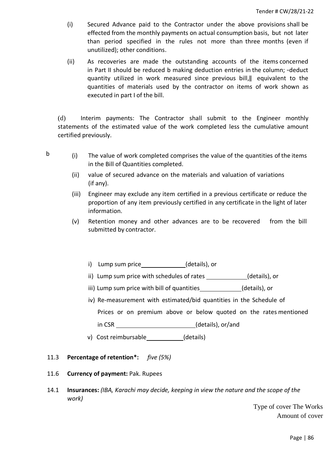- (i) Secured Advance paid to the Contractor under the above provisions shall be effected from the monthly payments on actual consumption basis, but not later than period specified in the rules not more than three months (even if unutilized); other conditions.
- (ii) As recoveries are made the outstanding accounts of the items concerned in Part II should be reduced b making deduction entries in the column; -deduct quantity utilized in work measured since previous bill,‖ equivalent to the quantities of materials used by the contractor on items of work shown as executed in part I of the bill.

(d) Interim payments: The Contractor shall submit to the Engineer monthly statements of the estimated value of the work completed less the cumulative amount certified previously.

- 
- $\mathbf{b}$  (i) The value of work completed comprises the value of the quantities of the items in the Bill of Quantities completed.
	- (ii) value of secured advance on the materials and valuation of variations (if any).
	- (iii) Engineer may exclude any item certified in a previous certificate or reduce the proportion of any item previously certified in any certificate in the light of later information.
	- (v) Retention money and other advances are to be recovered from the bill submitted by contractor.
		- i) Lump sum price (details), or
		- ii) Lump sum price with schedules of rates (details), or
		- iii) Lump sum price with bill of quantities (details), or
		- iv) Re-measurement with estimated/bid quantities in the Schedule of g Prices or on premium above or below quoted on the rates mentioned e in CSR \_\_\_\_\_\_\_\_\_\_\_\_\_\_\_\_\_\_\_\_\_\_\_\_\_\_\_\_(details), or/and
		- 8 v) Cost reimbursable \_\_\_\_\_\_\_\_\_\_\_(details)
- 11.3 **Percentage of retention\*:** *five (5%)*
- 11.6 **Currency of payment:** Pak. Rupees
- 14.1 **Insurances:** *(IBA, Karachi may decide, keeping in view the nature and the scope of the work)*

 Type of cover The Works Amount of cover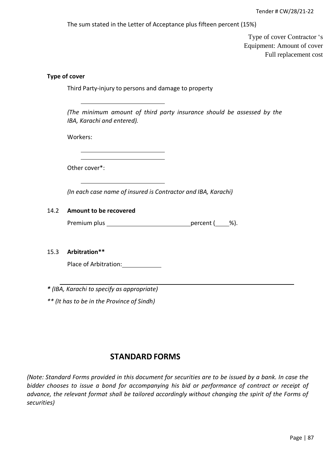The sum stated in the Letter of Acceptance plus fifteen percent (15%)

 Type of cover Contractor 's Equipment: Amount of cover Full replacement cost

# **Type of cover**

Third Party-injury to persons and damage to property

*(The minimum amount of third party insurance should be assessed by the IBA, Karachi and entered).*

Workers:

Other cover\*:

*(In each case name of insured is Contractor and IBA, Karachi)*

#### 14.2 **Amount to be recovered**

Premium plus percent ( %).

#### 15.3 **Arbitration\*\***

Place of Arbitration: 1992

*\* (IBA, Karachi to specify as appropriate)*

*\*\* (It has to be in the Province of Sindh)*

# **STANDARD FORMS**

*(Note: Standard Forms provided in this document for securities are to be issued by a bank. In case the bidder chooses to issue a bond for accompanying his bid or performance of contract or receipt of advance, the relevant format shall be tailored accordingly without changing the spirit of the Forms of securities)*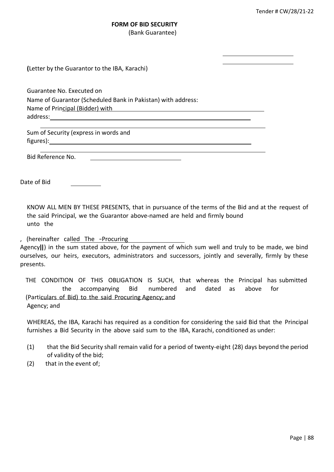# **FORM OF BID SECURITY** (Bank Guarantee)

**(**Letter by the Guarantor to the IBA, Karachi)

Guarantee No. Executed on Name of Guarantor (Scheduled Bank in Pakistan) with address: Name of Principal (Bidder) with address:

Sum of Security (express in words and figures):

Bid Reference No.

Date of Bid

KNOW ALL MEN BY THESE PRESENTS, that in pursuance of the terms of the Bid and at the request of the said Principal, we the Guarantor above-named are held and firmly bound unto the

, (hereinafter called The ―Procuring

Agency‖) in the sum stated above, for the payment of which sum well and truly to be made, we bind ourselves, our heirs, executors, administrators and successors, jointly and severally, firmly by these presents.

THE CONDITION OF THIS OBLIGATION IS SUCH, that whereas the Principal has submitted the accompanying Bid numbered and dated as above for (Particulars of Bid) to the said Procuring Agency; and Agency; and

WHEREAS, the IBA, Karachi has required as a condition for considering the said Bid that the Principal furnishes a Bid Security in the above said sum to the IBA, Karachi, conditioned as under:

- (1) that the Bid Security shall remain valid for a period of twenty-eight (28) days beyond the period of validity of the bid;
- (2) that in the event of;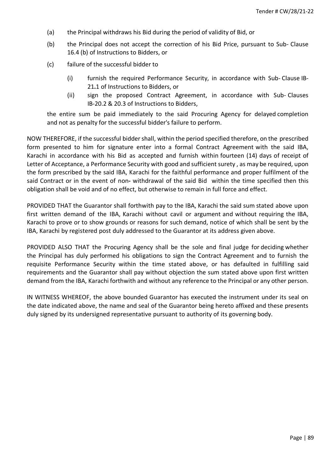- (a) the Principal withdraws his Bid during the period of validity of Bid, or
- (b) the Principal does not accept the correction of his Bid Price, pursuant to Sub- Clause 16.4 (b) of Instructions to Bidders, or
- (c) failure of the successful bidder to
	- (i) furnish the required Performance Security, in accordance with Sub- Clause IB-21**.**1 of Instructions to Bidders, or
	- (ii) sign the proposed Contract Agreement, in accordance with Sub- Clauses IB-20.2 & 20.3 of Instructions to Bidders,

the entire sum be paid immediately to the said Procuring Agency for delayed completion and not as penalty for the successful bidder's failure to perform.

NOW THEREFORE, if the successful biddershall, within the period specified therefore, on the prescribed form presented to him for signature enter into a formal Contract Agreement with the said IBA, Karachi in accordance with his Bid as accepted and furnish within fourteen (14) days of receipt of Letter of Acceptance, a Performance Security with good and sufficient surety , as may be required, upon the form prescribed by the said IBA, Karachi for the faithful performance and proper fulfilment of the said Contract or in the event of non**-** withdrawal of the said Bid within the time specified then this obligation shall be void and of no effect, but otherwise to remain in full force and effect.

PROVIDED THAT the Guarantor shall forthwith pay to the IBA, Karachi the said sum stated above upon first written demand of the IBA, Karachi without cavil or argument and without requiring the IBA, Karachi to prove or to show grounds or reasons for such demand, notice of which shall be sent by the IBA, Karachi by registered post duly addressed to the Guarantor at its address given above.

PROVIDED ALSO THAT the Procuring Agency shall be the sole and final judge for deciding whether the Principal has duly performed his obligations to sign the Contract Agreement and to furnish the requisite Performance Security within the time stated above, or has defaulted in fulfilling said requirements and the Guarantor shall pay without objection the sum stated above upon first written demand from the IBA, Karachi forthwith and without any reference to the Principal or any other person.

IN WITNESS WHEREOF, the above bounded Guarantor has executed the instrument under its seal on the date indicated above, the name and seal of the Guarantor being hereto affixed and these presents duly signed by its undersigned representative pursuant to authority of its governing body.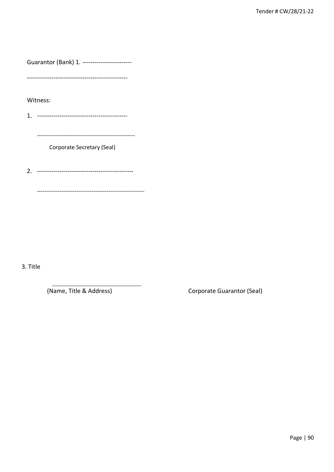Guarantor (Bank) 1. -----------------------

Witness:

 $------$ 

Corporate Secretary (Seal)

3. Title

(Name, Title & Address)

Corporate Guarantor (Seal)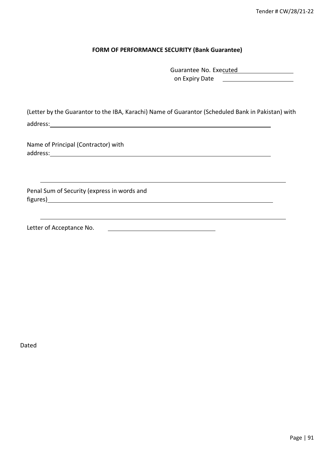## **FORM OF PERFORMANCE SECURITY (Bank Guarantee)**

| Guarantee No. Executed |  |
|------------------------|--|
| on Expiry Date         |  |

(Letter by the Guarantor to the IBA, Karachi) Name of Guarantor (Scheduled Bank in Pakistan) with address:

<u> 1989 - Johann Stoff, deutscher Stoff, der Stoff, der Stoff, der Stoff, der Stoff, der Stoff, der Stoff, der S</u>

Name of Principal (Contractor) with address:

Penal Sum of Security (express in words and figures)

Letter of Acceptance No.

Dated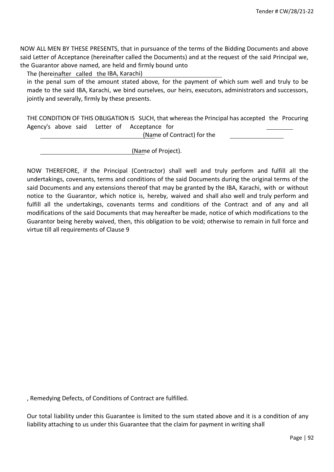NOW ALL MEN BY THESE PRESENTS, that in pursuance of the terms of the Bidding Documents and above said Letter of Acceptance (hereinafter called the Documents) and at the request of the said Principal we, the Guarantor above named, are held and firmly bound unto

The (hereinafter called the IBA, Karachi)

in the penal sum of the amount stated above*,* for the payment of which sum well and truly to be made to the said IBA, Karachi, we bind ourselves, our heirs, executors, administrators and successors, jointly and severally, firmly by these presents.

THE CONDITION OF THIS OBLIGATION IS SUCH, that whereas the Principal has accepted the Procuring Agency's above said Letter of Acceptance for

(Name of Contract) for the

(Name of Project).

NOW THEREFORE, if the Principal (Contractor) shall well and truly perform and fulfill all the undertakings, covenants, terms and conditions of the said Documents during the original terms of the said Documents and any extensions thereof that may be granted by the IBA, Karachi, with or without notice to the Guarantor, which notice is, hereby, waived and shall also well and truly perform and fulfill all the undertakings, covenants terms and conditions of the Contract and of any and all modifications of the said Documents that may hereafter be made, notice of which modifications to the Guarantor being hereby waived, then, this obligation to be void; otherwise to remain in full force and virtue till all requirements of Clause 9

, Remedying Defects, of Conditions of Contract are fulfilled.

Our total liability under this Guarantee is limited to the sum stated above and it is a condition of any liability attaching to us under this Guarantee that the claim for payment in writing shall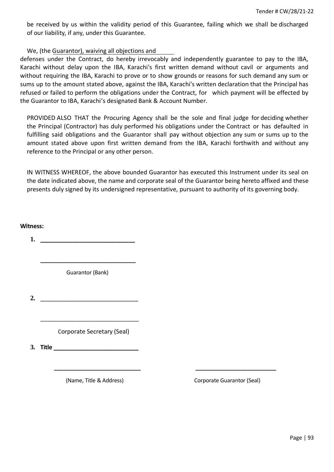be received by us within the validity period of this Guarantee, failing which we shall be discharged of our liability, if any, under this Guarantee.

# We, (the Guarantor), waiving all objections and

defenses under the Contract, do hereby irrevocably and independently guarantee to pay to the IBA, Karachi without delay upon the IBA, Karachi's first written demand without cavil or arguments and without requiring the IBA, Karachi to prove or to show grounds or reasons for such demand any sum or sums up to the amount stated above, against the IBA, Karachi's written declaration that the Principal has refused or failed to perform the obligations under the Contract, for which payment will be effected by the Guarantor to IBA, Karachi's designated Bank & Account Number.

PROVIDED ALSO THAT the Procuring Agency shall be the sole and final judge for deciding whether the Principal (Contractor) has duly performed his obligations under the Contract or has defaulted in fulfilling said obligations and the Guarantor shall pay without objection any sum or sums up to the amount stated above upon first written demand from the IBA, Karachi forthwith and without any reference to the Principal or any other person.

IN WITNESS WHEREOF, the above bounded Guarantor has executed this Instrument under its seal on the date indicated above, the name and corporate seal of the Guarantor being hereto affixed and these presents duly signed by its undersigned representative, pursuant to authority of its governing body.

**Witness: 1. \_\_\_\_\_\_\_\_\_\_\_\_\_\_\_\_\_\_\_\_\_\_\_\_\_\_\_\_\_**

Guarantor (Bank)

**\_\_\_\_\_\_\_\_\_\_\_\_\_\_\_\_\_\_\_\_\_\_\_\_\_\_\_\_\_\_\_\_**

**2.** \_\_\_\_\_\_\_\_\_\_\_\_\_\_\_\_\_\_\_\_\_\_\_\_\_\_\_\_\_\_

Corporate Secretary (Seal)

\_\_\_\_\_\_\_\_\_\_\_\_\_\_\_\_\_\_\_\_\_\_\_\_\_\_\_\_\_\_\_\_\_

**3. Title \_\_\_\_\_\_\_\_\_\_\_\_\_\_\_\_\_\_\_\_\_\_\_\_\_\_**

 **\_\_\_\_\_\_\_\_\_\_\_\_\_\_\_\_\_\_\_\_\_\_\_\_\_\_\_\_\_ \_\_\_\_\_\_\_\_\_\_\_\_\_\_\_\_\_\_\_\_\_\_\_\_\_\_\_**

**(Name, Title & Address) Corporate Guarantor (Seal)**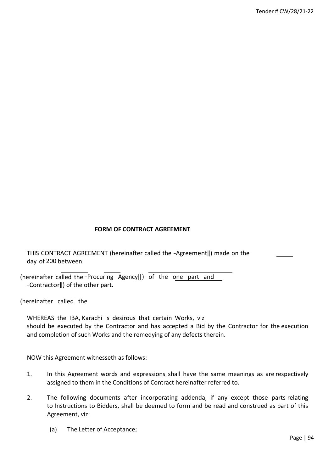# **FORM OF CONTRACT AGREEMENT**

THIS CONTRACT AGREEMENT (hereinafter called the ―Agreement‖) made on the day of 200 between

(hereinafter called the ―Procuring Agency‖) of the one part and ―Contractor‖) of the other part.

(hereinafter called the

WHEREAS the IBA, Karachi is desirous that certain Works, viz should be executed by the Contractor and has accepted a Bid by the Contractor for the execution and completion of such Works and the remedying of any defects therein.

NOW this Agreement witnesseth as follows:

- 1. In this Agreement words and expressions shall have the same meanings as are respectively assigned to them in the Conditions of Contract hereinafter referred to.
- 2. The following documents after incorporating addenda, if any except those parts relating to Instructions to Bidders, shall be deemed to form and be read and construed as part of this Agreement, viz:
	- (a) The Letter of Acceptance;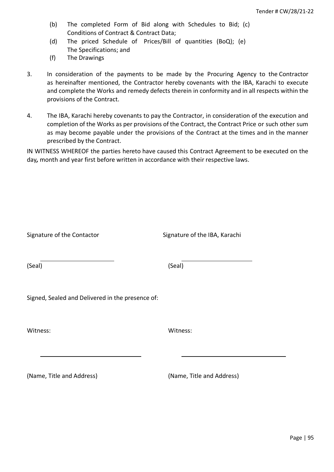- (b) The completed Form of Bid along with Schedules to Bid; (c) Conditions of Contract & Contract Data;
- (d) The priced Schedule of Prices/Bill of quantities (BoQ); (e) The Specifications; and
- (f) The Drawings
- 3. In consideration of the payments to be made by the Procuring Agency to the Contractor as hereinafter mentioned, the Contractor hereby covenants with the IBA, Karachi to execute and complete the Works and remedy defects therein in conformity and in all respects within the provisions of the Contract.
- 4. The IBA, Karachi hereby covenants to pay the Contractor, in consideration of the execution and completion of the Works as per provisions of the Contract, the Contract Price or such other sum as may become payable under the provisions of the Contract at the times and in the manner prescribed by the Contract.

IN WITNESS WHEREOF the parties hereto have caused this Contract Agreement to be executed on the day*,* month and year first before written in accordance with their respective laws.

| Signature of the Contactor                       | Signature of the IBA, Karachi |
|--------------------------------------------------|-------------------------------|
| (Seal)                                           | (Seal)                        |
| Signed, Sealed and Delivered in the presence of: |                               |
| Witness:                                         | Witness:                      |
| (Name, Title and Address)                        | (Name, Title and Address)     |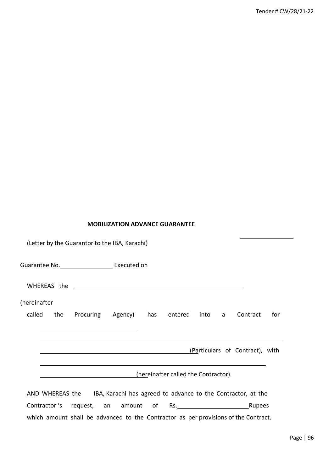# **MOBILIZATION ADVANCE GUARANTEE**

|              |     | (Letter by the Guarantor to the IBA, Karachi)                                       |                                                                                  |                                      |      |   |                                 |     |
|--------------|-----|-------------------------------------------------------------------------------------|----------------------------------------------------------------------------------|--------------------------------------|------|---|---------------------------------|-----|
|              |     | Guarantee No. _______________________ Executed on                                   |                                                                                  |                                      |      |   |                                 |     |
|              |     |                                                                                     |                                                                                  |                                      |      |   |                                 |     |
| (hereinafter |     |                                                                                     |                                                                                  |                                      |      |   |                                 |     |
| called       | the | Procuring Agency) has entered                                                       |                                                                                  |                                      | into | a | Contract                        | for |
|              |     |                                                                                     |                                                                                  |                                      |      |   |                                 |     |
|              |     |                                                                                     |                                                                                  |                                      |      |   | (Particulars of Contract), with |     |
|              |     |                                                                                     | ,我们也不会有什么。""我们的人,我们也不会有什么?""我们的人,我们也不会有什么?""我们的人,我们也不会有什么?""我们的人,我们也不会有什么?""我们的人 | (hereinafter called the Contractor). |      |   |                                 |     |
|              |     | AND WHEREAS the IBA, Karachi has agreed to advance to the Contractor, at the        |                                                                                  |                                      |      |   |                                 |     |
|              |     |                                                                                     |                                                                                  |                                      |      |   |                                 |     |
|              |     | which amount shall be advanced to the Contractor as per provisions of the Contract. |                                                                                  |                                      |      |   |                                 |     |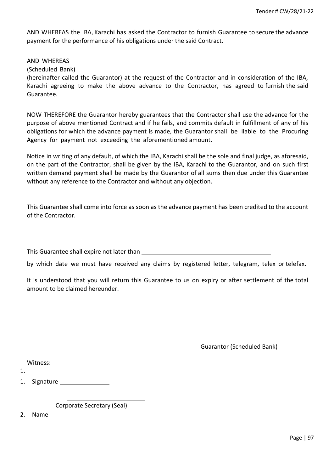AND WHEREAS the IBA, Karachi has asked the Contractor to furnish Guarantee to secure the advance payment for the performance of his obligations under the said Contract.

AND WHEREAS (Scheduled Bank)

(hereinafter called the Guarantor) at the request of the Contractor and in consideration of the IBA, Karachi agreeing to make the above advance to the Contractor, has agreed to furnish the said Guarantee.

NOW THEREFORE the Guarantor hereby guarantees that the Contractor shall use the advance for the purpose of above mentioned Contract and if he fails, and commits default in fulfillment of any of his obligations for which the advance payment is made, the Guarantor shall be liable to the Procuring Agency for payment not exceeding the aforementioned amount.

Notice in writing of any default, of which the IBA, Karachi shall be the sole and final judge, as aforesaid, on the part of the Contractor, shall be given by the IBA, Karachi to the Guarantor, and on such first written demand payment shall be made by the Guarantor of all sums then due under this Guarantee without any reference to the Contractor and without any objection.

This Guarantee shall come into force as soon as the advance payment has been credited to the account of the Contractor.

This Guarantee shall expire not later than

by which date we must have received any claims by registered letter, telegram, telex or telefax.

It is understood that you will return this Guarantee to us on expiry or after settlement of the total amount to be claimed hereunder.

Guarantor (Scheduled Bank)

| Witness: |  |
|----------|--|
|----------|--|

1.

1. Signature

Corporate Secretary (Seal)

2. Name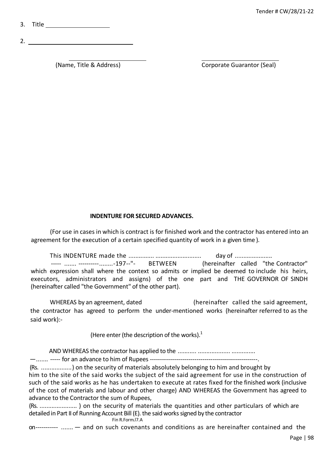3. Title

2.

(Name, Title & Address) Corporate Guarantor (Seal)

# **INDENTURE FOR SECURED ADVANCES.**

(For use in cases in which is contract is for finished work and the contractor has entered into an agreement for the execution of a certain specified quantity of work in a given time ).

This INDENTURE made the ............... ........................... day of ...................... ----- ....... ----------........-197--"- BETWEEN (hereinafter called "the Contractor" which expression shall where the context so admits or implied be deemed to include his heirs, executors, administrators and assigns) of the one part and THE GOVERNOR OF SINDH (hereinafter called "the Government" of the other part).

WHEREAS by an agreement, dated (hereinafter called the said agreement, the contractor has agreed to perform the under-mentioned works (hereinafter referred to as the said work):-

(Here enter (the description of the works).<sup>1</sup>

AND WHEREAS the contractor has applied to the ........... ................... .............. —....... ----- for an advance to him of Rupees -----------------------------------------------------.

(Rs. ..................) on the security of materials absolutely belonging to him and brought by him to the site of the said works the subject of the said agreement for use in the construction of such of the said works as he has undertaken to execute at rates fixed for the finished work (inclusive of the cost of materials and labour and other charge) AND WHEREAS the Government has agreed to advance to the Contractor the sum of Rupees,

(Rs. ...................... ) on the security of materials the quantities and other particulars of which are detailed in Part II of Running Account Bill (E). the said works signed by the contractor Fin R.Form.l7.A

on----------- ....... — and on such covenants and conditions as are hereinafter contained and the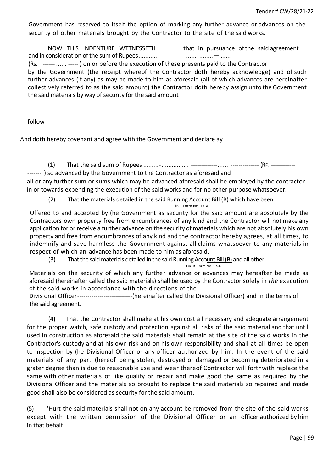Government has reserved to itself the option of marking any further advance or advances on the security of other materials brought by the Contractor to the site of the said works.

NOW THIS INDENTURE WTTNESSETH that in pursuance of the said agreement and in consideration of the sum of Rupees...........------------- ......-........— ......

(Rs. ------ ...... ----- ) on or before the execution of these presents paid to the Contractor by the Government (the receipt whereof the Contractor doth hereby acknowledge) and of such further advances (if any) as may be made to him as aforesaid (all of which advances are hereinafter collectively referred to as the said amount) the Contractor doth hereby assign unto the Government the said materials by way of security for the said amount

follow :-

And doth hereby covenant and agree with the Government and declare ay

(1) That the said sum of Rupees .........-................ -------------...... -------------- (RF. ------------

------- ) so advanced by the Government to the Contractor as aforesaid and

all or any further sum or sums which may be advanced aforesaid shall be employed by the contractor in or towards expending the execution of the said works and for no other purpose whatsoever.

(2) That the materials detailed in the said Running Account Bill (B) which have been

Fin R Form No. 17-A

Offered to and accepted by (he Government as security for the said amount are absolutely by the Contractors own property free from encumbrances of any kind and the Contractor will not make any application for or receive a further advance on the security of materials which are not absolutely his own property and free from encumbrances of any kind and the contractor hereby agrees, at all times, to indemnify and save harmless the Government against all claims whatsoever to any materials in respect of which an advance has been made to him as aforesaid.

(3) That the said materials detailed in the said Running Account Bill (B) and all other

Fin. R. Form No. 17-A

Materials on the security of which any further advance or advances may hereafter be made as aforesaid (hereinafter called the said materials) shall be used by the Contractor solely in *the* execution of the said works in accordance with the directions of the

Divisional Officer---------------------------(hereinafter called the Divisional Officer) and in the terms of the said agreement.

(4) That the Contractor shall make at his own cost all necessary and adequate arrangement for the proper watch, safe custody and protection against all risks of the said material and that until used in construction as aforesaid the said materials shall remain at the site of the said works in the Contractor's custody and at his own risk and on his own responsibility and shall at all times be open to inspection by (he Divisional Officer or any officer authorized by him. In the event of the said materials of any part (hereof being stolen, destroyed or damaged or becoming deteriorated in a grater degree than is due to reasonable use and wear thereof Contractor will forthwith replace the same with other materials of like qualify or repair and make good the same as required by the Divisional Officer and the materials so brought to replace the said materials so repaired and made good shall also be considered as security for the said amount.

(5) 'Hurt the said materials shall not on any account be removed from the site of the said works except with the written permission of the Divisional Officer or an officer authorized by him in that behalf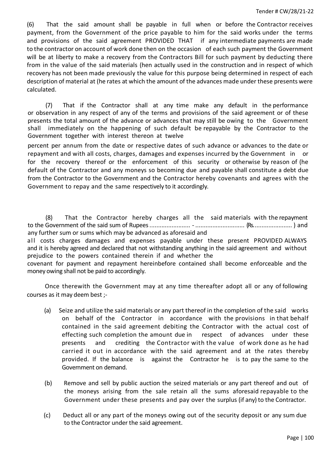(6) That the said amount shall be payable in full when or before the Contractor receives payment, from the Government of the price payable to him for the said works under the terms and provisions of the said agreement PROVIDED THAT if any intermediate payments are made to the contractor on account of work done then on the occasion of each such payment the Government will be at liberty to make a recovery from the Contractors Bill for such payment by deducting there from in the value of the said materials (hen actually used in the construction and in respect of which recovery has not been made previously the value for this purpose being determined in respect of each description of material at (he rates at which the amount of the advances made under these presents were calculated.

(7) That if the Contractor shall at any time make any default in the performance or observation in any respect of any of the terms and provisions of the said agreement or of these presents the total amount of the advance or advances that may still be owing to the Government shall immediately on the happening of such default be repayable by the Contractor to the Government together with interest thereon at twelve

percent per annum from the date or respective dates of such advance or advances to the date or repayment and with all costs, charges, damages and expenses incurred by the Government in or for the recovery thereof or the enforcement of this security or otherwise by reason of (he default of the Contractor and any moneys so becoming due and payable shall constitute a debt due from the Contractor to the Government and the Contractor hereby covenants and agrees with the Government to repay and the same respectively to it accordingly.

(8) That the Contractor hereby charges all the said materials with the repayment to the Government of the said sum of Rupees........................ - ............................. (Rs....................... ) and any further sum or sums which may be advanced as aforesaid and

all costs charges damages and expenses payable under these present PROVIDED ALWAYS and it is hereby agreed and declared that not withstanding anything in the said agreement and without prejudice to the powers contained therein if and whether the

covenant for payment and repayment hereinbefore contained shall become enforceable and the money owing shall not be paid to accordingly.

Once therewith the Government may at any time thereafter adopt all or any of following courses as it may deem best ;-

- (a) Seize and utilize the said materials or any part thereof in the completion of the said works on behalf of the Contractor in accordance with the provisions in that behalf contained in the said agreement debiting the Contractor with the actual cost of effecting such completion the amount due in respect of advances under these presents and crediting the Contractor with the value of work done as he had carried it out in accordance with the said agreement and at the rates thereby provided. If the balance is against the Contractor he is to pay the same to the Government on demand.
- (b) Remove and sell by public auction the seized materials or any part thereof and out of the moneys arising from the sale retain all the sums aforesaid repayable to the Government under these presents and pay over the surplus (if any) to the Contractor.
- (c) Deduct all or any part of the moneys owing out of the security deposit or any sum due to the Contractor under the said agreement.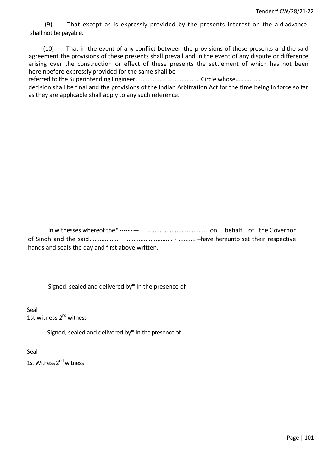(9) That except as is expressly provided by the presents interest on the aid advance shall not be payable.

(10) That in the event of any conflict between the provisions of these presents and the said agreement the provisions of these presents shall prevail and in the event of any dispute or difference arising over the construction or effect of these presents the settlement of which has not been hereinbefore expressly provided for the same shall be

referred to the Superintending Engineer..................................... Circle whose…………….

decision shall be final and the provisions of the Indian Arbitration Act for the time being in force so far as they are applicable shall apply to any such reference.

In witnesses whereof the\* ------—\_\_.................................... on behalf of the Governor of Sindh and the said................. —........................... - .......... --have hereunto set their respective hands and seals the day and first above written.

Signed, sealed and delivered by $*$  In the presence of

Seal 1st witness 2<sup>nd</sup> witness

Signed, sealed and delivered by\* In the presence of

Seal 1st Witness 2<sup>nd</sup> witness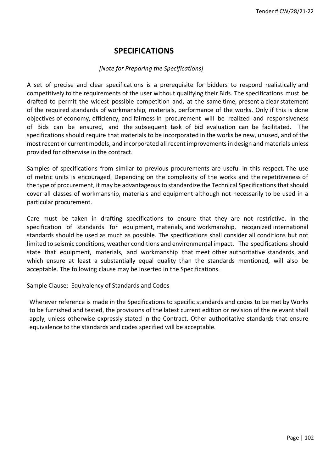# **SPECIFICATIONS**

# *[Note for Preparing the Specifications]*

A set of precise and clear specifications is a prerequisite for bidders to respond realistically and competitively to the requirements of the user without qualifying their Bids. The specifications must be drafted to permit the widest possible competition and, at the same time, present a clear statement of the required standards of workmanship, materials, performance of the works. Only if this is done objectives of economy, efficiency, and fairness in procurement will be realized and responsiveness of Bids can be ensured, and the subsequent task of bid evaluation can be facilitated. The specifications should require that materials to be incorporated in the works be new, unused, and of the most recent or current models, and incorporated all recent improvements in design and materials unless provided for otherwise in the contract.

Samples of specifications from similar to previous procurements are useful in this respect. The use of metric units is encouraged. Depending on the complexity of the works and the repetitiveness of the type of procurement, it may be advantageous to standardize the Technical Specifications thatshould cover all classes of workmanship, materials and equipment although not necessarily to be used in a particular procurement.

Care must be taken in drafting specifications to ensure that they are not restrictive. In the specification of standards for equipment, materials, and workmanship, recognized international standards should be used as much as possible. The specifications shall consider all conditions but not limited to seismic conditions, weather conditions and environmental impact. The specifications should state that equipment, materials, and workmanship that meet other authoritative standards, and which ensure at least a substantially equal quality than the standards mentioned, will also be acceptable. The following clause may be inserted in the Specifications.

Sample Clause: Equivalency of Standards and Codes

Wherever reference is made in the Specifications to specific standards and codes to be met by Works to be furnished and tested, the provisions of the latest current edition or revision of the relevant shall apply, unless otherwise expressly stated in the Contract. Other authoritative standards that ensure equivalence to the standards and codes specified will be acceptable.